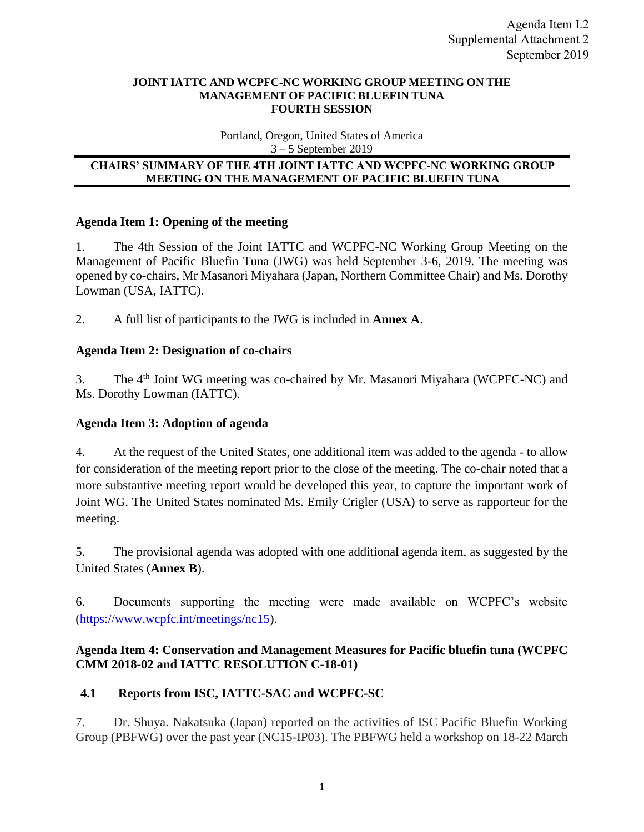### **JOINT IATTC AND WCPFC-NC WORKING GROUP MEETING ON THE MANAGEMENT OF PACIFIC BLUEFIN TUNA FOURTH SESSION**

Portland, Oregon, United States of America 3 – 5 September 2019

## **CHAIRS' SUMMARY OF THE 4TH JOINT IATTC AND WCPFC-NC WORKING GROUP MEETING ON THE MANAGEMENT OF PACIFIC BLUEFIN TUNA**

# **Agenda Item 1: Opening of the meeting**

1. The 4th Session of the Joint IATTC and WCPFC-NC Working Group Meeting on the Management of Pacific Bluefin Tuna (JWG) was held September 3-6, 2019. The meeting was opened by co-chairs, Mr Masanori Miyahara (Japan, Northern Committee Chair) and Ms. Dorothy Lowman (USA, IATTC).

2. A full list of participants to the JWG is included in **Annex A**.

# **Agenda Item 2: Designation of co-chairs**

3. The 4<sup>th</sup> Joint WG meeting was co-chaired by Mr. Masanori Miyahara (WCPFC-NC) and Ms. Dorothy Lowman (IATTC).

# **Agenda Item 3: Adoption of agenda**

4. At the request of the United States, one additional item was added to the agenda - to allow for consideration of the meeting report prior to the close of the meeting. The co-chair noted that a more substantive meeting report would be developed this year, to capture the important work of Joint WG. The United States nominated Ms. Emily Crigler (USA) to serve as rapporteur for the meeting.

5. The provisional agenda was adopted with one additional agenda item, as suggested by the United States (**Annex B**).

6. Documents supporting the meeting were made available on WCPFC's website [\(https://www.wcpfc.int/meetings/nc15\)](https://www.wcpfc.int/meetings/nc15).

# **Agenda Item 4: Conservation and Management Measures for Pacific bluefin tuna (WCPFC CMM 2018-02 and IATTC RESOLUTION C-18-01)**

# **4.1 Reports from ISC, IATTC-SAC and WCPFC-SC**

7. Dr. Shuya. Nakatsuka (Japan) reported on the activities of ISC Pacific Bluefin Working Group (PBFWG) over the past year (NC15-IP03). The PBFWG held a workshop on 18-22 March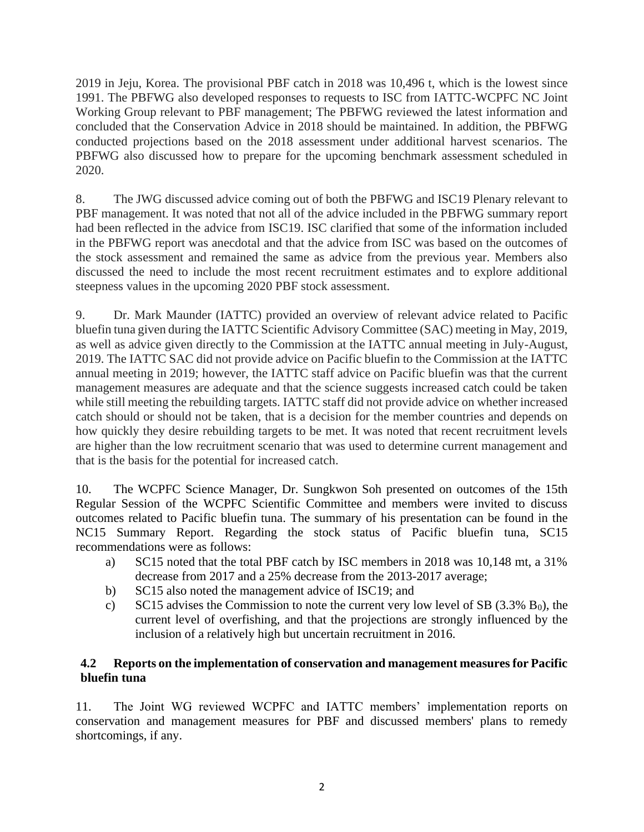2019 in Jeju, Korea. The provisional PBF catch in 2018 was 10,496 t, which is the lowest since 1991. The PBFWG also developed responses to requests to ISC from IATTC-WCPFC NC Joint Working Group relevant to PBF management; The PBFWG reviewed the latest information and concluded that the Conservation Advice in 2018 should be maintained. In addition, the PBFWG conducted projections based on the 2018 assessment under additional harvest scenarios. The PBFWG also discussed how to prepare for the upcoming benchmark assessment scheduled in 2020.

8. The JWG discussed advice coming out of both the PBFWG and ISC19 Plenary relevant to PBF management. It was noted that not all of the advice included in the PBFWG summary report had been reflected in the advice from ISC19. ISC clarified that some of the information included in the PBFWG report was anecdotal and that the advice from ISC was based on the outcomes of the stock assessment and remained the same as advice from the previous year. Members also discussed the need to include the most recent recruitment estimates and to explore additional steepness values in the upcoming 2020 PBF stock assessment.

9. Dr. Mark Maunder (IATTC) provided an overview of relevant advice related to Pacific bluefin tuna given during the IATTC Scientific Advisory Committee (SAC) meeting in May, 2019, as well as advice given directly to the Commission at the IATTC annual meeting in July-August, 2019. The IATTC SAC did not provide advice on Pacific bluefin to the Commission at the IATTC annual meeting in 2019; however, the IATTC staff advice on Pacific bluefin was that the current management measures are adequate and that the science suggests increased catch could be taken while still meeting the rebuilding targets. IATTC staff did not provide advice on whether increased catch should or should not be taken, that is a decision for the member countries and depends on how quickly they desire rebuilding targets to be met. It was noted that recent recruitment levels are higher than the low recruitment scenario that was used to determine current management and that is the basis for the potential for increased catch.

10. The WCPFC Science Manager, Dr. Sungkwon Soh presented on outcomes of the 15th Regular Session of the WCPFC Scientific Committee and members were invited to discuss outcomes related to Pacific bluefin tuna. The summary of his presentation can be found in the NC15 Summary Report. Regarding the stock status of Pacific bluefin tuna, SC15 recommendations were as follows:

- a) SC15 noted that the total PBF catch by ISC members in 2018 was 10,148 mt, a 31% decrease from 2017 and a 25% decrease from the 2013-2017 average;
- b) SC15 also noted the management advice of ISC19; and
- c) SC15 advises the Commission to note the current very low level of SB  $(3.3\%$  B<sub>0</sub>), the current level of overfishing, and that the projections are strongly influenced by the inclusion of a relatively high but uncertain recruitment in 2016.

# **4.2 Reports on the implementation of conservation and management measures for Pacific bluefin tuna**

11. The Joint WG reviewed WCPFC and IATTC members' implementation reports on conservation and management measures for PBF and discussed members' plans to remedy shortcomings, if any.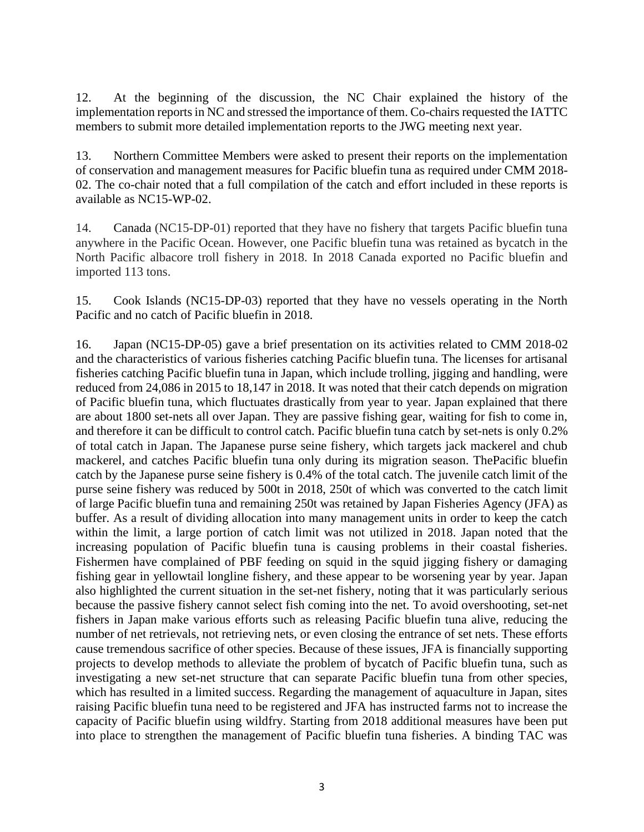12. At the beginning of the discussion, the NC Chair explained the history of the implementation reports in NC and stressed the importance of them. Co-chairs requested the IATTC members to submit more detailed implementation reports to the JWG meeting next year.

13. Northern Committee Members were asked to present their reports on the implementation of conservation and management measures for Pacific bluefin tuna as required under CMM 2018- 02. The co-chair noted that a full compilation of the catch and effort included in these reports is available as NC15-WP-02.

14. Canada (NC15-DP-01) reported that they have no fishery that targets Pacific bluefin tuna anywhere in the Pacific Ocean. However, one Pacific bluefin tuna was retained as bycatch in the North Pacific albacore troll fishery in 2018. In 2018 Canada exported no Pacific bluefin and imported 113 tons.

15. Cook Islands (NC15-DP-03) reported that they have no vessels operating in the North Pacific and no catch of Pacific bluefin in 2018.

16. Japan (NC15-DP-05) gave a brief presentation on its activities related to CMM 2018-02 and the characteristics of various fisheries catching Pacific bluefin tuna. The licenses for artisanal fisheries catching Pacific bluefin tuna in Japan, which include trolling, jigging and handling, were reduced from 24,086 in 2015 to 18,147 in 2018. It was noted that their catch depends on migration of Pacific bluefin tuna, which fluctuates drastically from year to year. Japan explained that there are about 1800 set-nets all over Japan. They are passive fishing gear, waiting for fish to come in, and therefore it can be difficult to control catch. Pacific bluefin tuna catch by set-nets is only 0.2% of total catch in Japan. The Japanese purse seine fishery, which targets jack mackerel and chub mackerel, and catches Pacific bluefin tuna only during its migration season. ThePacific bluefin catch by the Japanese purse seine fishery is 0.4% of the total catch. The juvenile catch limit of the purse seine fishery was reduced by 500t in 2018, 250t of which was converted to the catch limit of large Pacific bluefin tuna and remaining 250t was retained by Japan Fisheries Agency (JFA) as buffer. As a result of dividing allocation into many management units in order to keep the catch within the limit, a large portion of catch limit was not utilized in 2018. Japan noted that the increasing population of Pacific bluefin tuna is causing problems in their coastal fisheries. Fishermen have complained of PBF feeding on squid in the squid jigging fishery or damaging fishing gear in yellowtail longline fishery, and these appear to be worsening year by year. Japan also highlighted the current situation in the set-net fishery, noting that it was particularly serious because the passive fishery cannot select fish coming into the net. To avoid overshooting, set-net fishers in Japan make various efforts such as releasing Pacific bluefin tuna alive, reducing the number of net retrievals, not retrieving nets, or even closing the entrance of set nets. These efforts cause tremendous sacrifice of other species. Because of these issues, JFA is financially supporting projects to develop methods to alleviate the problem of bycatch of Pacific bluefin tuna, such as investigating a new set-net structure that can separate Pacific bluefin tuna from other species, which has resulted in a limited success. Regarding the management of aquaculture in Japan, sites raising Pacific bluefin tuna need to be registered and JFA has instructed farms not to increase the capacity of Pacific bluefin using wildfry. Starting from 2018 additional measures have been put into place to strengthen the management of Pacific bluefin tuna fisheries. A binding TAC was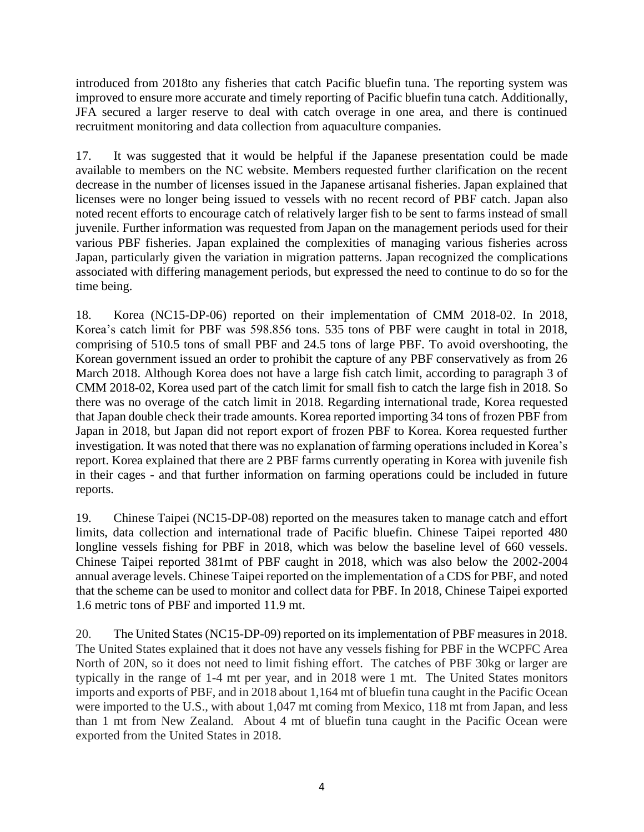introduced from 2018to any fisheries that catch Pacific bluefin tuna. The reporting system was improved to ensure more accurate and timely reporting of Pacific bluefin tuna catch. Additionally, JFA secured a larger reserve to deal with catch overage in one area, and there is continued recruitment monitoring and data collection from aquaculture companies.

17. It was suggested that it would be helpful if the Japanese presentation could be made available to members on the NC website. Members requested further clarification on the recent decrease in the number of licenses issued in the Japanese artisanal fisheries. Japan explained that licenses were no longer being issued to vessels with no recent record of PBF catch. Japan also noted recent efforts to encourage catch of relatively larger fish to be sent to farms instead of small juvenile. Further information was requested from Japan on the management periods used for their various PBF fisheries. Japan explained the complexities of managing various fisheries across Japan, particularly given the variation in migration patterns. Japan recognized the complications associated with differing management periods, but expressed the need to continue to do so for the time being.

18. Korea (NC15-DP-06) reported on their implementation of CMM 2018-02. In 2018, Korea's catch limit for PBF was 598.856 tons. 535 tons of PBF were caught in total in 2018, comprising of 510.5 tons of small PBF and 24.5 tons of large PBF. To avoid overshooting, the Korean government issued an order to prohibit the capture of any PBF conservatively as from 26 March 2018. Although Korea does not have a large fish catch limit, according to paragraph 3 of CMM 2018-02, Korea used part of the catch limit for small fish to catch the large fish in 2018. So there was no overage of the catch limit in 2018. Regarding international trade, Korea requested that Japan double check their trade amounts. Korea reported importing 34 tons of frozen PBF from Japan in 2018, but Japan did not report export of frozen PBF to Korea. Korea requested further investigation. It was noted that there was no explanation of farming operations included in Korea's report. Korea explained that there are 2 PBF farms currently operating in Korea with juvenile fish in their cages - and that further information on farming operations could be included in future reports.

19. Chinese Taipei (NC15-DP-08) reported on the measures taken to manage catch and effort limits, data collection and international trade of Pacific bluefin. Chinese Taipei reported 480 longline vessels fishing for PBF in 2018, which was below the baseline level of 660 vessels. Chinese Taipei reported 381mt of PBF caught in 2018, which was also below the 2002-2004 annual average levels. Chinese Taipei reported on the implementation of a CDS for PBF, and noted that the scheme can be used to monitor and collect data for PBF. In 2018, Chinese Taipei exported 1.6 metric tons of PBF and imported 11.9 mt.

20. The United States (NC15-DP-09) reported on its implementation of PBF measures in 2018. The United States explained that it does not have any vessels fishing for PBF in the WCPFC Area North of 20N, so it does not need to limit fishing effort. The catches of PBF 30kg or larger are typically in the range of 1-4 mt per year, and in 2018 were 1 mt. The United States monitors imports and exports of PBF, and in 2018 about 1,164 mt of bluefin tuna caught in the Pacific Ocean were imported to the U.S., with about 1,047 mt coming from Mexico, 118 mt from Japan, and less than 1 mt from New Zealand. About 4 mt of bluefin tuna caught in the Pacific Ocean were exported from the United States in 2018.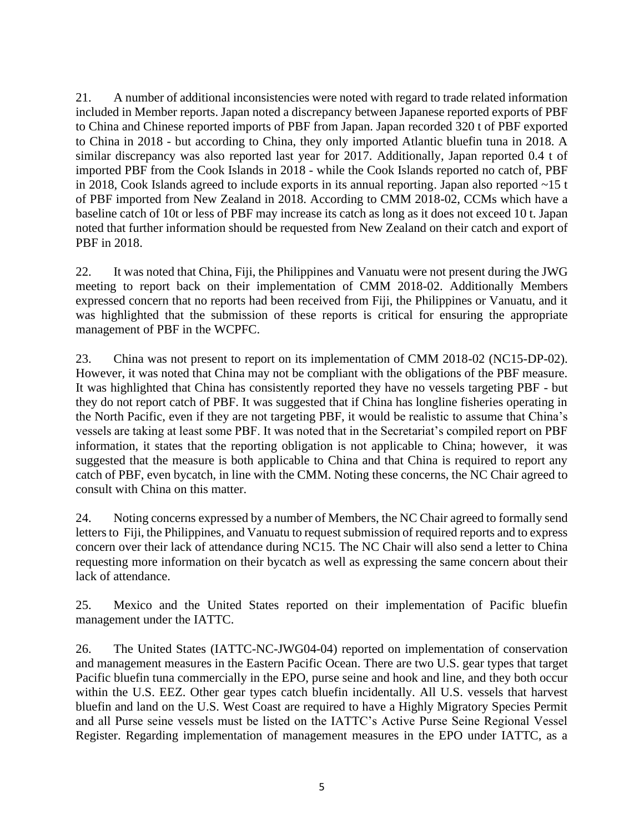21. A number of additional inconsistencies were noted with regard to trade related information included in Member reports. Japan noted a discrepancy between Japanese reported exports of PBF to China and Chinese reported imports of PBF from Japan. Japan recorded 320 t of PBF exported to China in 2018 - but according to China, they only imported Atlantic bluefin tuna in 2018. A similar discrepancy was also reported last year for 2017. Additionally, Japan reported 0.4 t of imported PBF from the Cook Islands in 2018 - while the Cook Islands reported no catch of, PBF in 2018, Cook Islands agreed to include exports in its annual reporting. Japan also reported ~15 t of PBF imported from New Zealand in 2018. According to CMM 2018-02, CCMs which have a baseline catch of 10t or less of PBF may increase its catch as long as it does not exceed 10 t. Japan noted that further information should be requested from New Zealand on their catch and export of PBF in 2018.

22. It was noted that China, Fiji, the Philippines and Vanuatu were not present during the JWG meeting to report back on their implementation of CMM 2018-02. Additionally Members expressed concern that no reports had been received from Fiji, the Philippines or Vanuatu, and it was highlighted that the submission of these reports is critical for ensuring the appropriate management of PBF in the WCPFC.

23. China was not present to report on its implementation of CMM 2018-02 (NC15-DP-02). However, it was noted that China may not be compliant with the obligations of the PBF measure. It was highlighted that China has consistently reported they have no vessels targeting PBF - but they do not report catch of PBF. It was suggested that if China has longline fisheries operating in the North Pacific, even if they are not targeting PBF, it would be realistic to assume that China's vessels are taking at least some PBF. It was noted that in the Secretariat's compiled report on PBF information, it states that the reporting obligation is not applicable to China; however, it was suggested that the measure is both applicable to China and that China is required to report any catch of PBF, even bycatch, in line with the CMM. Noting these concerns, the NC Chair agreed to consult with China on this matter.

24. Noting concerns expressed by a number of Members, the NC Chair agreed to formally send letters to Fiji, the Philippines, and Vanuatu to request submission of required reports and to express concern over their lack of attendance during NC15. The NC Chair will also send a letter to China requesting more information on their bycatch as well as expressing the same concern about their lack of attendance.

25. Mexico and the United States reported on their implementation of Pacific bluefin management under the IATTC.

26. The United States (IATTC-NC-JWG04-04) reported on implementation of conservation and management measures in the Eastern Pacific Ocean. There are two U.S. gear types that target Pacific bluefin tuna commercially in the EPO, purse seine and hook and line, and they both occur within the U.S. EEZ. Other gear types catch bluefin incidentally. All U.S. vessels that harvest bluefin and land on the U.S. West Coast are required to have a Highly Migratory Species Permit and all Purse seine vessels must be listed on the IATTC's Active Purse Seine Regional Vessel Register. Regarding implementation of management measures in the EPO under IATTC, as a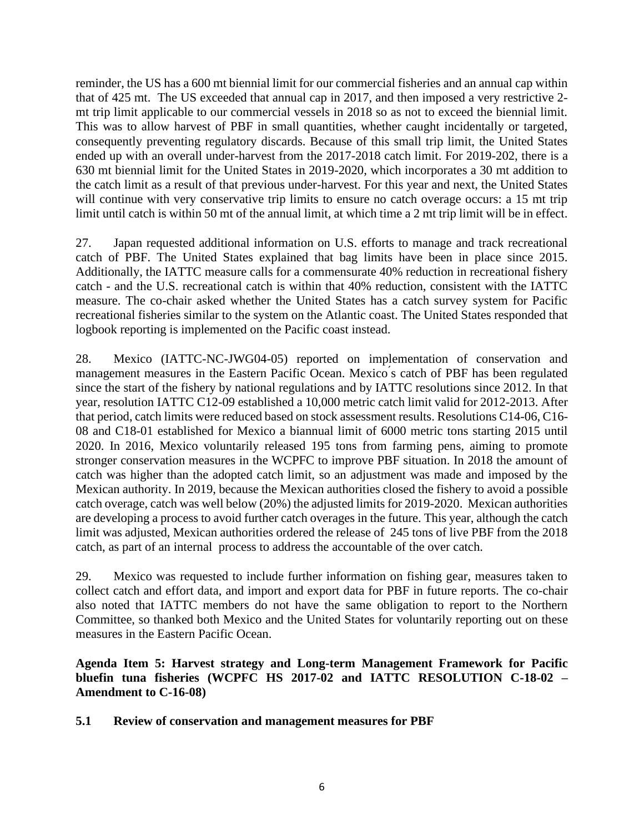reminder, the US has a 600 mt biennial limit for our commercial fisheries and an annual cap within that of 425 mt. The US exceeded that annual cap in 2017, and then imposed a very restrictive 2 mt trip limit applicable to our commercial vessels in 2018 so as not to exceed the biennial limit. This was to allow harvest of PBF in small quantities, whether caught incidentally or targeted, consequently preventing regulatory discards. Because of this small trip limit, the United States ended up with an overall under-harvest from the 2017-2018 catch limit. For 2019-202, there is a 630 mt biennial limit for the United States in 2019-2020, which incorporates a 30 mt addition to the catch limit as a result of that previous under-harvest. For this year and next, the United States will continue with very conservative trip limits to ensure no catch overage occurs: a 15 mt trip limit until catch is within 50 mt of the annual limit, at which time a 2 mt trip limit will be in effect.

27. Japan requested additional information on U.S. efforts to manage and track recreational catch of PBF. The United States explained that bag limits have been in place since 2015. Additionally, the IATTC measure calls for a commensurate 40% reduction in recreational fishery catch - and the U.S. recreational catch is within that 40% reduction, consistent with the IATTC measure. The co-chair asked whether the United States has a catch survey system for Pacific recreational fisheries similar to the system on the Atlantic coast. The United States responded that logbook reporting is implemented on the Pacific coast instead.

28. Mexico (IATTC-NC-JWG04-05) reported on implementation of conservation and management measures in the Eastern Pacific Ocean. Mexico ́s catch of PBF has been regulated since the start of the fishery by national regulations and by IATTC resolutions since 2012. In that year, resolution IATTC C12-09 established a 10,000 metric catch limit valid for 2012-2013. After that period, catch limits were reduced based on stock assessment results. Resolutions C14-06, C16- 08 and C18-01 established for Mexico a biannual limit of 6000 metric tons starting 2015 until 2020. In 2016, Mexico voluntarily released 195 tons from farming pens, aiming to promote stronger conservation measures in the WCPFC to improve PBF situation. In 2018 the amount of catch was higher than the adopted catch limit, so an adjustment was made and imposed by the Mexican authority. In 2019, because the Mexican authorities closed the fishery to avoid a possible catch overage, catch was well below (20%) the adjusted limits for 2019-2020. Mexican authorities are developing a process to avoid further catch overages in the future. This year, although the catch limit was adjusted, Mexican authorities ordered the release of 245 tons of live PBF from the 2018 catch, as part of an internal process to address the accountable of the over catch.

29. Mexico was requested to include further information on fishing gear, measures taken to collect catch and effort data, and import and export data for PBF in future reports. The co-chair also noted that IATTC members do not have the same obligation to report to the Northern Committee, so thanked both Mexico and the United States for voluntarily reporting out on these measures in the Eastern Pacific Ocean.

**Agenda Item 5: Harvest strategy and Long-term Management Framework for Pacific bluefin tuna fisheries (WCPFC HS 2017-02 and IATTC RESOLUTION C-18-02 – Amendment to C-16-08)**

# **5.1 Review of conservation and management measures for PBF**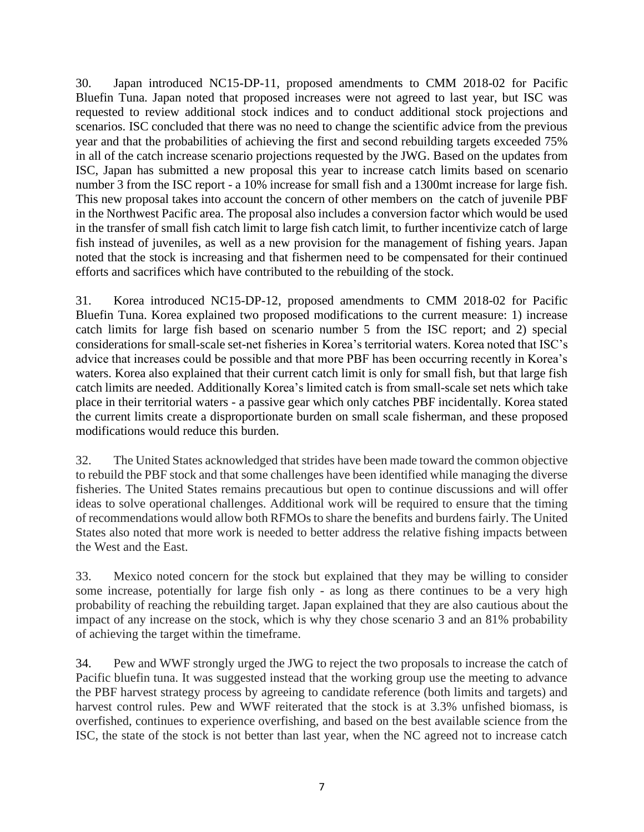30. Japan introduced NC15-DP-11, proposed amendments to CMM 2018-02 for Pacific Bluefin Tuna. Japan noted that proposed increases were not agreed to last year, but ISC was requested to review additional stock indices and to conduct additional stock projections and scenarios. ISC concluded that there was no need to change the scientific advice from the previous year and that the probabilities of achieving the first and second rebuilding targets exceeded 75% in all of the catch increase scenario projections requested by the JWG. Based on the updates from ISC, Japan has submitted a new proposal this year to increase catch limits based on scenario number 3 from the ISC report - a 10% increase for small fish and a 1300mt increase for large fish. This new proposal takes into account the concern of other members on the catch of juvenile PBF in the Northwest Pacific area. The proposal also includes a conversion factor which would be used in the transfer of small fish catch limit to large fish catch limit, to further incentivize catch of large fish instead of juveniles, as well as a new provision for the management of fishing years. Japan noted that the stock is increasing and that fishermen need to be compensated for their continued efforts and sacrifices which have contributed to the rebuilding of the stock.

31. Korea introduced NC15-DP-12, proposed amendments to CMM 2018-02 for Pacific Bluefin Tuna. Korea explained two proposed modifications to the current measure: 1) increase catch limits for large fish based on scenario number 5 from the ISC report; and 2) special considerations for small-scale set-net fisheries in Korea's territorial waters. Korea noted that ISC's advice that increases could be possible and that more PBF has been occurring recently in Korea's waters. Korea also explained that their current catch limit is only for small fish, but that large fish catch limits are needed. Additionally Korea's limited catch is from small-scale set nets which take place in their territorial waters - a passive gear which only catches PBF incidentally. Korea stated the current limits create a disproportionate burden on small scale fisherman, and these proposed modifications would reduce this burden.

32. The United States acknowledged that strides have been made toward the common objective to rebuild the PBF stock and that some challenges have been identified while managing the diverse fisheries. The United States remains precautious but open to continue discussions and will offer ideas to solve operational challenges. Additional work will be required to ensure that the timing of recommendations would allow both RFMOs to share the benefits and burdens fairly. The United States also noted that more work is needed to better address the relative fishing impacts between the West and the East.

33. Mexico noted concern for the stock but explained that they may be willing to consider some increase, potentially for large fish only - as long as there continues to be a very high probability of reaching the rebuilding target. Japan explained that they are also cautious about the impact of any increase on the stock, which is why they chose scenario 3 and an 81% probability of achieving the target within the timeframe.

34. Pew and WWF strongly urged the JWG to reject the two proposals to increase the catch of Pacific bluefin tuna. It was suggested instead that the working group use the meeting to advance the PBF harvest strategy process by agreeing to candidate reference (both limits and targets) and harvest control rules. Pew and WWF reiterated that the stock is at 3.3% unfished biomass, is overfished, continues to experience overfishing, and based on the best available science from the ISC, the state of the stock is not better than last year, when the NC agreed not to increase catch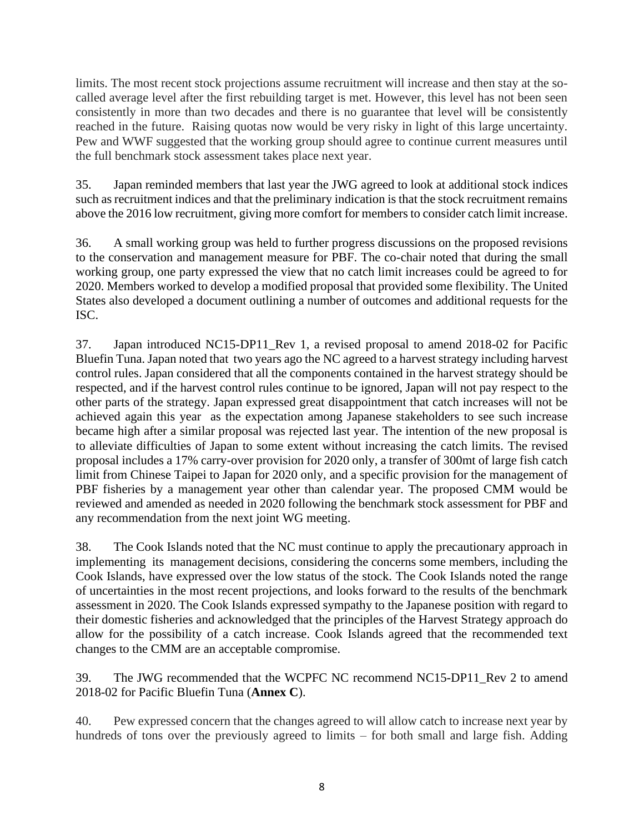limits. The most recent stock projections assume recruitment will increase and then stay at the socalled average level after the first rebuilding target is met. However, this level has not been seen consistently in more than two decades and there is no guarantee that level will be consistently reached in the future. Raising quotas now would be very risky in light of this large uncertainty. Pew and WWF suggested that the working group should agree to continue current measures until the full benchmark stock assessment takes place next year.

35. Japan reminded members that last year the JWG agreed to look at additional stock indices such as recruitment indices and that the preliminary indication is that the stock recruitment remains above the 2016 low recruitment, giving more comfort for members to consider catch limit increase.

36. A small working group was held to further progress discussions on the proposed revisions to the conservation and management measure for PBF. The co-chair noted that during the small working group, one party expressed the view that no catch limit increases could be agreed to for 2020. Members worked to develop a modified proposal that provided some flexibility. The United States also developed a document outlining a number of outcomes and additional requests for the ISC.

37. Japan introduced NC15-DP11\_Rev 1, a revised proposal to amend 2018-02 for Pacific Bluefin Tuna. Japan noted that two years ago the NC agreed to a harvest strategy including harvest control rules. Japan considered that all the components contained in the harvest strategy should be respected, and if the harvest control rules continue to be ignored, Japan will not pay respect to the other parts of the strategy. Japan expressed great disappointment that catch increases will not be achieved again this year as the expectation among Japanese stakeholders to see such increase became high after a similar proposal was rejected last year. The intention of the new proposal is to alleviate difficulties of Japan to some extent without increasing the catch limits. The revised proposal includes a 17% carry-over provision for 2020 only, a transfer of 300mt of large fish catch limit from Chinese Taipei to Japan for 2020 only, and a specific provision for the management of PBF fisheries by a management year other than calendar year. The proposed CMM would be reviewed and amended as needed in 2020 following the benchmark stock assessment for PBF and any recommendation from the next joint WG meeting.

38. The Cook Islands noted that the NC must continue to apply the precautionary approach in implementing its management decisions, considering the concerns some members, including the Cook Islands, have expressed over the low status of the stock. The Cook Islands noted the range of uncertainties in the most recent projections, and looks forward to the results of the benchmark assessment in 2020. The Cook Islands expressed sympathy to the Japanese position with regard to their domestic fisheries and acknowledged that the principles of the Harvest Strategy approach do allow for the possibility of a catch increase. Cook Islands agreed that the recommended text changes to the CMM are an acceptable compromise.

39. The JWG recommended that the WCPFC NC recommend NC15-DP11\_Rev 2 to amend 2018-02 for Pacific Bluefin Tuna (**Annex C**).

40. Pew expressed concern that the changes agreed to will allow catch to increase next year by hundreds of tons over the previously agreed to limits – for both small and large fish. Adding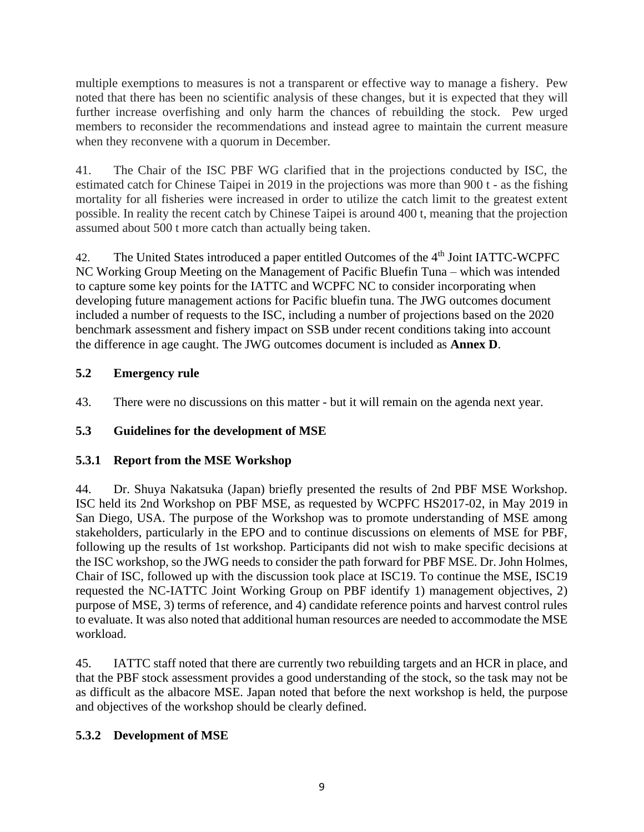multiple exemptions to measures is not a transparent or effective way to manage a fishery. Pew noted that there has been no scientific analysis of these changes, but it is expected that they will further increase overfishing and only harm the chances of rebuilding the stock. Pew urged members to reconsider the recommendations and instead agree to maintain the current measure when they reconvene with a quorum in December.

41. The Chair of the ISC PBF WG clarified that in the projections conducted by ISC, the estimated catch for Chinese Taipei in 2019 in the projections was more than 900 t - as the fishing mortality for all fisheries were increased in order to utilize the catch limit to the greatest extent possible. In reality the recent catch by Chinese Taipei is around 400 t, meaning that the projection assumed about 500 t more catch than actually being taken.

42. The United States introduced a paper entitled Outcomes of the 4<sup>th</sup> Joint IATTC-WCPFC NC Working Group Meeting on the Management of Pacific Bluefin Tuna – which was intended to capture some key points for the IATTC and WCPFC NC to consider incorporating when developing future management actions for Pacific bluefin tuna. The JWG outcomes document included a number of requests to the ISC, including a number of projections based on the 2020 benchmark assessment and fishery impact on SSB under recent conditions taking into account the difference in age caught. The JWG outcomes document is included as **Annex D**.

# **5.2 Emergency rule**

43. There were no discussions on this matter - but it will remain on the agenda next year.

# **5.3 Guidelines for the development of MSE**

# **5.3.1 Report from the MSE Workshop**

44. Dr. Shuya Nakatsuka (Japan) briefly presented the results of 2nd PBF MSE Workshop. ISC held its 2nd Workshop on PBF MSE, as requested by WCPFC HS2017-02, in May 2019 in San Diego, USA. The purpose of the Workshop was to promote understanding of MSE among stakeholders, particularly in the EPO and to continue discussions on elements of MSE for PBF, following up the results of 1st workshop. Participants did not wish to make specific decisions at the ISC workshop, so the JWG needs to consider the path forward for PBF MSE. Dr. John Holmes, Chair of ISC, followed up with the discussion took place at ISC19. To continue the MSE, ISC19 requested the NC-IATTC Joint Working Group on PBF identify 1) management objectives, 2) purpose of MSE, 3) terms of reference, and 4) candidate reference points and harvest control rules to evaluate. It was also noted that additional human resources are needed to accommodate the MSE workload.

45. IATTC staff noted that there are currently two rebuilding targets and an HCR in place, and that the PBF stock assessment provides a good understanding of the stock, so the task may not be as difficult as the albacore MSE. Japan noted that before the next workshop is held, the purpose and objectives of the workshop should be clearly defined.

# **5.3.2 Development of MSE**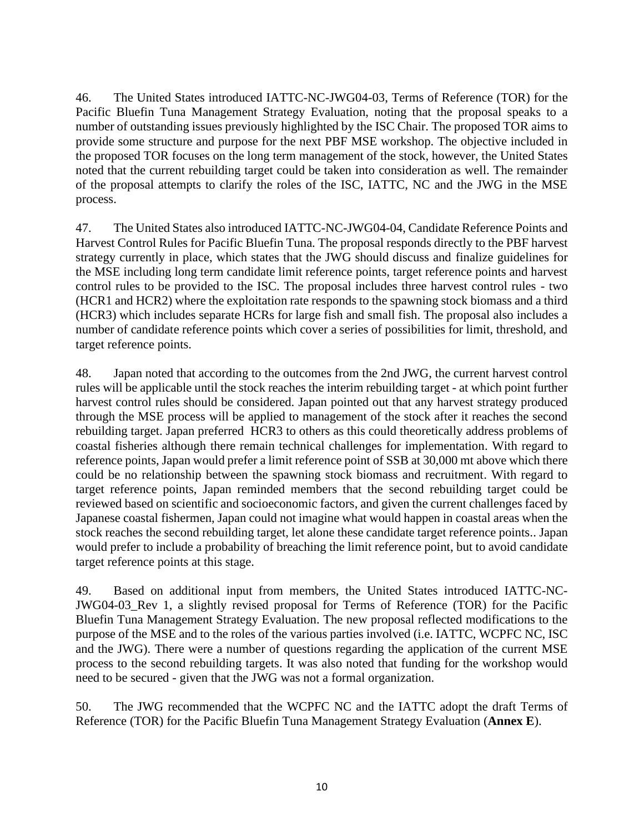46. The United States introduced IATTC-NC-JWG04-03, Terms of Reference (TOR) for the Pacific Bluefin Tuna Management Strategy Evaluation, noting that the proposal speaks to a number of outstanding issues previously highlighted by the ISC Chair. The proposed TOR aims to provide some structure and purpose for the next PBF MSE workshop. The objective included in the proposed TOR focuses on the long term management of the stock, however, the United States noted that the current rebuilding target could be taken into consideration as well. The remainder of the proposal attempts to clarify the roles of the ISC, IATTC, NC and the JWG in the MSE process.

47. The United States also introduced IATTC-NC-JWG04-04, Candidate Reference Points and Harvest Control Rules for Pacific Bluefin Tuna. The proposal responds directly to the PBF harvest strategy currently in place, which states that the JWG should discuss and finalize guidelines for the MSE including long term candidate limit reference points, target reference points and harvest control rules to be provided to the ISC. The proposal includes three harvest control rules - two (HCR1 and HCR2) where the exploitation rate responds to the spawning stock biomass and a third (HCR3) which includes separate HCRs for large fish and small fish. The proposal also includes a number of candidate reference points which cover a series of possibilities for limit, threshold, and target reference points.

48. Japan noted that according to the outcomes from the 2nd JWG, the current harvest control rules will be applicable until the stock reaches the interim rebuilding target - at which point further harvest control rules should be considered. Japan pointed out that any harvest strategy produced through the MSE process will be applied to management of the stock after it reaches the second rebuilding target. Japan preferred HCR3 to others as this could theoretically address problems of coastal fisheries although there remain technical challenges for implementation. With regard to reference points, Japan would prefer a limit reference point of SSB at 30,000 mt above which there could be no relationship between the spawning stock biomass and recruitment. With regard to target reference points, Japan reminded members that the second rebuilding target could be reviewed based on scientific and socioeconomic factors, and given the current challenges faced by Japanese coastal fishermen, Japan could not imagine what would happen in coastal areas when the stock reaches the second rebuilding target, let alone these candidate target reference points.. Japan would prefer to include a probability of breaching the limit reference point, but to avoid candidate target reference points at this stage.

49. Based on additional input from members, the United States introduced IATTC-NC-JWG04-03\_Rev 1, a slightly revised proposal for Terms of Reference (TOR) for the Pacific Bluefin Tuna Management Strategy Evaluation. The new proposal reflected modifications to the purpose of the MSE and to the roles of the various parties involved (i.e. IATTC, WCPFC NC, ISC and the JWG). There were a number of questions regarding the application of the current MSE process to the second rebuilding targets. It was also noted that funding for the workshop would need to be secured - given that the JWG was not a formal organization.

50. The JWG recommended that the WCPFC NC and the IATTC adopt the draft Terms of Reference (TOR) for the Pacific Bluefin Tuna Management Strategy Evaluation (**Annex E**).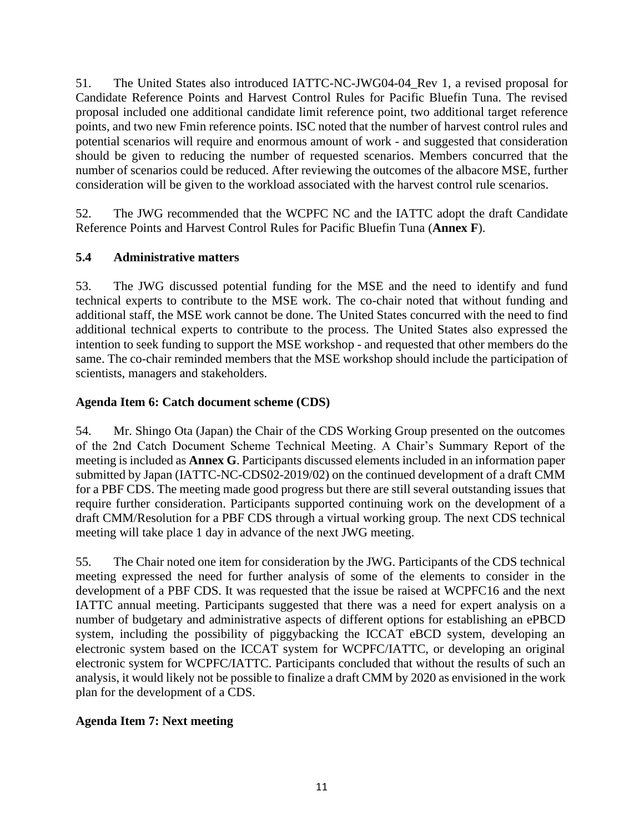51. The United States also introduced IATTC-NC-JWG04-04\_Rev 1, a revised proposal for Candidate Reference Points and Harvest Control Rules for Pacific Bluefin Tuna. The revised proposal included one additional candidate limit reference point, two additional target reference points, and two new Fmin reference points. ISC noted that the number of harvest control rules and potential scenarios will require and enormous amount of work - and suggested that consideration should be given to reducing the number of requested scenarios. Members concurred that the number of scenarios could be reduced. After reviewing the outcomes of the albacore MSE, further consideration will be given to the workload associated with the harvest control rule scenarios.

52. The JWG recommended that the WCPFC NC and the IATTC adopt the draft Candidate Reference Points and Harvest Control Rules for Pacific Bluefin Tuna (**Annex F**).

# **5.4 Administrative matters**

53. The JWG discussed potential funding for the MSE and the need to identify and fund technical experts to contribute to the MSE work. The co-chair noted that without funding and additional staff, the MSE work cannot be done. The United States concurred with the need to find additional technical experts to contribute to the process. The United States also expressed the intention to seek funding to support the MSE workshop - and requested that other members do the same. The co-chair reminded members that the MSE workshop should include the participation of scientists, managers and stakeholders.

# **Agenda Item 6: Catch document scheme (CDS)**

54. Mr. Shingo Ota (Japan) the Chair of the CDS Working Group presented on the outcomes of the 2nd Catch Document Scheme Technical Meeting. A Chair's Summary Report of the meeting is included as **Annex G**. Participants discussed elements included in an information paper submitted by Japan (IATTC-NC-CDS02-2019/02) on the continued development of a draft CMM for a PBF CDS. The meeting made good progress but there are still several outstanding issues that require further consideration. Participants supported continuing work on the development of a draft CMM/Resolution for a PBF CDS through a virtual working group. The next CDS technical meeting will take place 1 day in advance of the next JWG meeting.

55. The Chair noted one item for consideration by the JWG. Participants of the CDS technical meeting expressed the need for further analysis of some of the elements to consider in the development of a PBF CDS. It was requested that the issue be raised at WCPFC16 and the next IATTC annual meeting. Participants suggested that there was a need for expert analysis on a number of budgetary and administrative aspects of different options for establishing an ePBCD system, including the possibility of piggybacking the ICCAT eBCD system, developing an electronic system based on the ICCAT system for WCPFC/IATTC, or developing an original electronic system for WCPFC/IATTC. Participants concluded that without the results of such an analysis, it would likely not be possible to finalize a draft CMM by 2020 as envisioned in the work plan for the development of a CDS.

# **Agenda Item 7: Next meeting**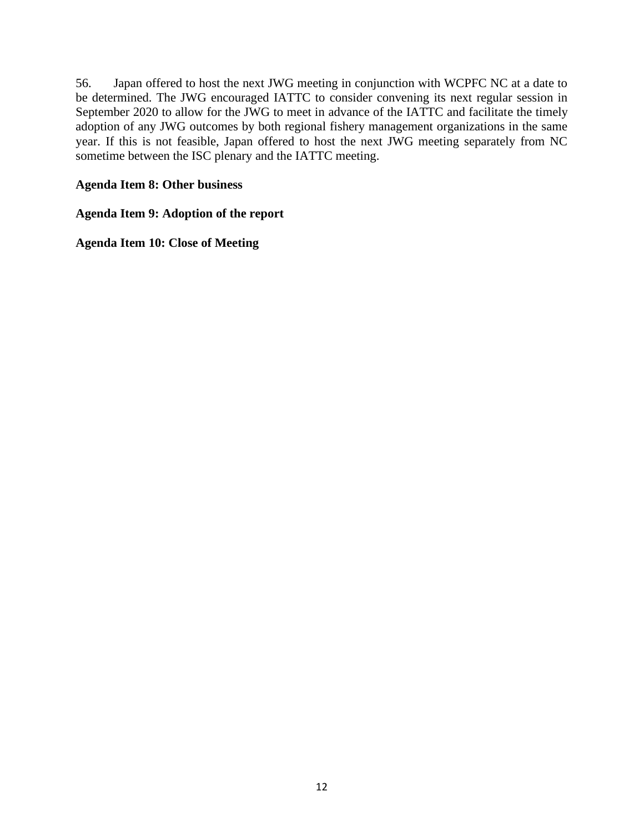56. Japan offered to host the next JWG meeting in conjunction with WCPFC NC at a date to be determined. The JWG encouraged IATTC to consider convening its next regular session in September 2020 to allow for the JWG to meet in advance of the IATTC and facilitate the timely adoption of any JWG outcomes by both regional fishery management organizations in the same year. If this is not feasible, Japan offered to host the next JWG meeting separately from NC sometime between the ISC plenary and the IATTC meeting.

# **Agenda Item 8: Other business**

# **Agenda Item 9: Adoption of the report**

**Agenda Item 10: Close of Meeting**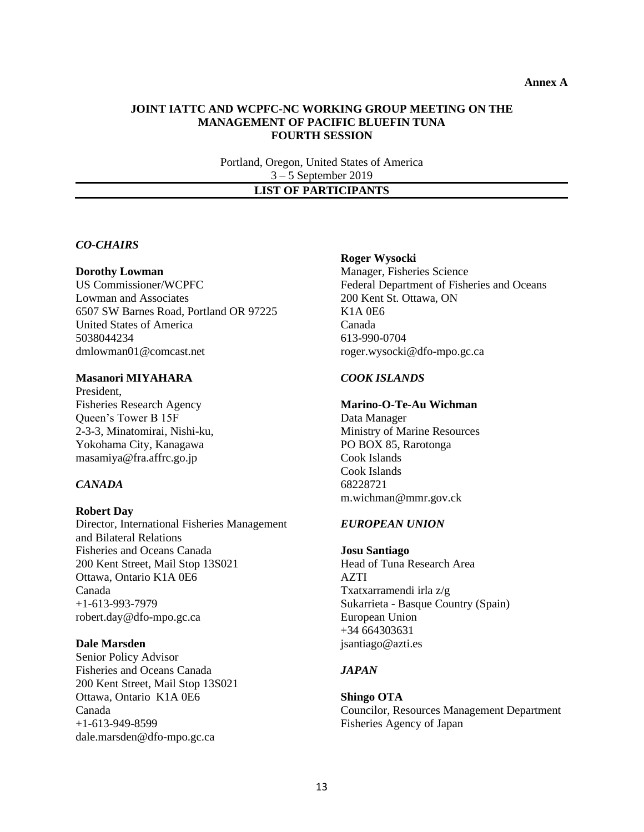#### **JOINT IATTC AND WCPFC-NC WORKING GROUP MEETING ON THE MANAGEMENT OF PACIFIC BLUEFIN TUNA FOURTH SESSION**

Portland, Oregon, United States of America 3 – 5 September 2019

# **LIST OF PARTICIPANTS**

### *CO-CHAIRS*

#### **Dorothy Lowman**

US Commissioner/WCPFC Lowman and Associates 6507 SW Barnes Road, Portland OR 97225 United States of America 5038044234 [dmlowman01@comcast.net](mailto:dmlowman01@comcast.net)

#### **Masanori MIYAHARA**

President, Fisheries Research Agency Queen's Tower B 15F 2-3-3, Minatomirai, Nishi-ku, Yokohama City, Kanagawa masamiya@fra.affrc.go.jp

### *CANADA*

#### **Robert Day**

Director, International Fisheries Management and Bilateral Relations Fisheries and Oceans Canada 200 Kent Street, Mail Stop 13S021 Ottawa, Ontario K1A 0E6 Canada +1-613-993-7979 robert.day@dfo-mpo.gc.ca

#### **Dale Marsden**

Senior Policy Advisor Fisheries and Oceans Canada 200 Kent Street, Mail Stop 13S021 Ottawa, Ontario K1A 0E6 Canada +1-613-949-8599 dale.marsden@dfo-mpo.gc.ca

#### **Roger Wysocki**

Manager, Fisheries Science Federal Department of Fisheries and Oceans 200 Kent St. Ottawa, ON K1A 0E6 Canada 613-990-0704 roger.wysocki@dfo-mpo.gc.ca

### *COOK ISLANDS*

### **Marino-O-Te-Au Wichman**

Data Manager Ministry of Marine Resources PO BOX 85, Rarotonga Cook Islands Cook Islands 68228721 m.wichman@mmr.gov.ck

#### *EUROPEAN UNION*

### **Josu Santiago** Head of Tuna Research Area AZTI Txatxarramendi irla z/g Sukarrieta - Basque Country (Spain) European Union +34 664303631

#### *JAPAN*

jsantiago@azti.es

#### **Shingo OTA** Councilor, Resources Management Department Fisheries Agency of Japan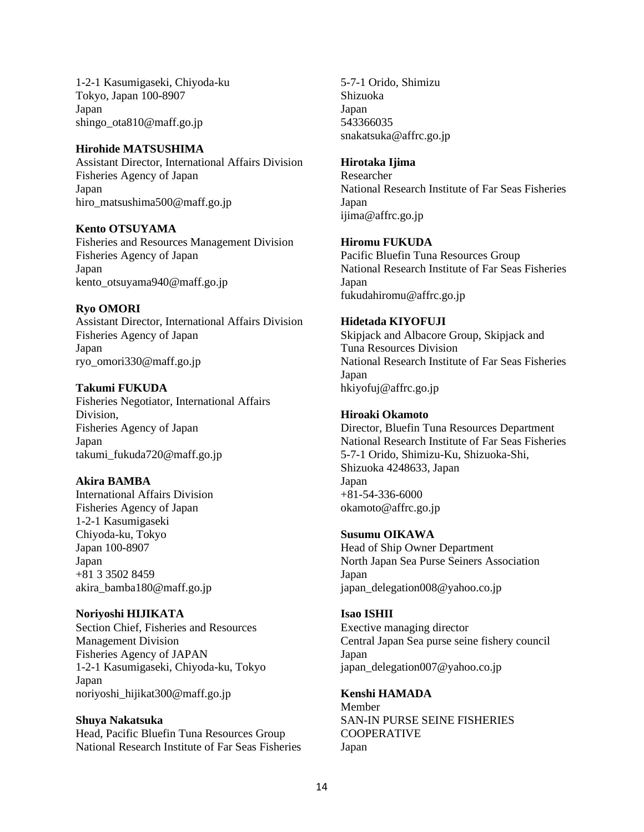1-2-1 Kasumigaseki, Chiyoda-ku Tokyo, Japan 100-8907 Japan shingo\_ota810@maff.go.jp

#### **Hirohide MATSUSHIMA**

Assistant Director, International Affairs Division Fisheries Agency of Japan Japan hiro\_matsushima500@maff.go.jp

**Kento OTSUYAMA**

Fisheries and Resources Management Division Fisheries Agency of Japan Japan kento\_otsuyama940@maff.go.jp

### **Ryo OMORI**

Assistant Director, International Affairs Division Fisheries Agency of Japan Japan ryo\_omori330@maff.go.jp

### **Takumi FUKUDA**

Fisheries Negotiator, International Affairs Division, Fisheries Agency of Japan Japan takumi\_fukuda720@maff.go.jp

## **Akira BAMBA**

International Affairs Division Fisheries Agency of Japan 1-2-1 Kasumigaseki Chiyoda-ku, Tokyo Japan 100-8907 Japan +81 3 3502 8459 akira\_bamba180@maff.go.jp

**Noriyoshi HIJIKATA** Section Chief, Fisheries and Resources Management Division Fisheries Agency of JAPAN 1-2-1 Kasumigaseki, Chiyoda-ku, Tokyo Japan noriyoshi\_hijikat300@maff.go.jp

## **Shuya Nakatsuka**

Head, Pacific Bluefin Tuna Resources Group National Research Institute of Far Seas Fisheries 5-7-1 Orido, Shimizu Shizuoka Japan 543366035 snakatsuka@affrc.go.jp

### **Hirotaka Ijima**

Researcher National Research Institute of Far Seas Fisheries Japan ijima@affrc.go.jp

### **Hiromu FUKUDA**

Pacific Bluefin Tuna Resources Group National Research Institute of Far Seas Fisheries Japan fukudahiromu@affrc.go.jp

## **Hidetada KIYOFUJI**

Skipjack and Albacore Group, Skipjack and Tuna Resources Division National Research Institute of Far Seas Fisheries Japan hkiyofuj@affrc.go.jp

### **Hiroaki Okamoto**

Director, Bluefin Tuna Resources Department National Research Institute of Far Seas Fisheries 5-7-1 Orido, Shimizu-Ku, Shizuoka-Shi, Shizuoka 4248633, Japan Japan +81-54-336-6000 okamoto@affrc.go.jp

### **Susumu OIKAWA**

Head of Ship Owner Department North Japan Sea Purse Seiners Association Japan japan\_delegation008@yahoo.co.jp

## **Isao ISHII**

Exective managing director Central Japan Sea purse seine fishery council Japan japan\_delegation007@yahoo.co.jp

**Kenshi HAMADA** Member SAN-IN PURSE SEINE FISHERIES COOPERATIVE Japan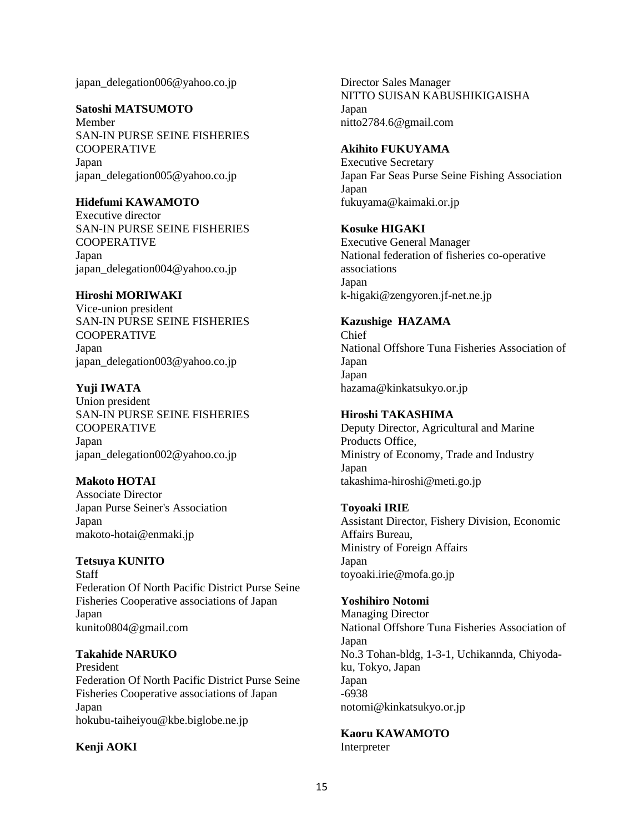japan\_delegation006@yahoo.co.jp

### **Satoshi MATSUMOTO**

Member SAN-IN PURSE SEINE FISHERIES COOPERATIVE Japan japan\_delegation005@yahoo.co.jp

### **Hidefumi KAWAMOTO**

Executive director SAN-IN PURSE SEINE FISHERIES COOPERATIVE Japan japan\_delegation004@yahoo.co.jp

### **Hiroshi MORIWAKI**

Vice-union president SAN-IN PURSE SEINE FISHERIES COOPERATIVE Japan japan\_delegation003@yahoo.co.jp

### **Yuji IWATA**

Union president SAN-IN PURSE SEINE FISHERIES COOPERATIVE Japan japan\_delegation002@yahoo.co.jp

**Makoto HOTAI** Associate Director Japan Purse Seiner's Association Japan

makoto-hotai@enmaki.jp

### **Tetsuya KUNITO**

Staff Federation Of North Pacific District Purse Seine Fisheries Cooperative associations of Japan Japan kunito0804@gmail.com

### **Takahide NARUKO**

President Federation Of North Pacific District Purse Seine Fisheries Cooperative associations of Japan Japan hokubu-taiheiyou@kbe.biglobe.ne.jp

## **Kenji AOKI**

Director Sales Manager NITTO SUISAN KABUSHIKIGAISHA Japan nitto2784.6@gmail.com

#### **Akihito FUKUYAMA**

Executive Secretary Japan Far Seas Purse Seine Fishing Association Japan fukuyama@kaimaki.or.jp

#### **Kosuke HIGAKI**

Executive General Manager National federation of fisheries co-operative associations Japan k-higaki@zengyoren.jf-net.ne.jp

### **Kazushige HAZAMA**

Chief National Offshore Tuna Fisheries Association of Japan Japan hazama@kinkatsukyo.or.jp

### **Hiroshi TAKASHIMA**

Deputy Director, Agricultural and Marine Products Office, Ministry of Economy, Trade and Industry Japan takashima-hiroshi@meti.go.jp

### **Toyoaki IRIE**

Assistant Director, Fishery Division, Economic Affairs Bureau, Ministry of Foreign Affairs Japan toyoaki.irie@mofa.go.jp

### **Yoshihiro Notomi**

Managing Director National Offshore Tuna Fisheries Association of Japan No.3 Tohan-bldg, 1-3-1, Uchikannda, Chiyodaku, Tokyo, Japan Japan -6938 notomi@kinkatsukyo.or.jp

# **Kaoru KAWAMOTO**

Interpreter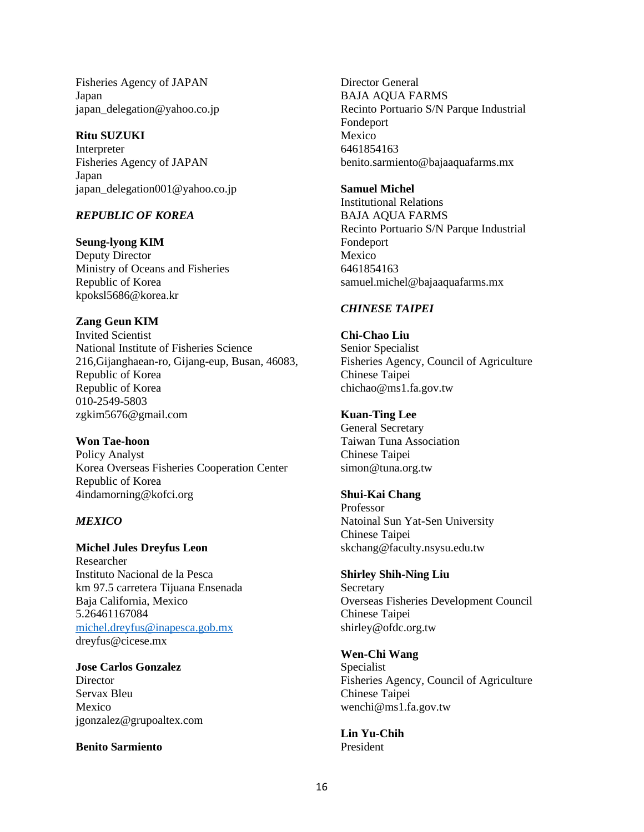Fisheries Agency of JAPAN Japan japan\_delegation@yahoo.co.jp

### **Ritu SUZUKI**

Interpreter Fisheries Agency of JAPAN Japan japan\_delegation001@yahoo.co.jp

## *REPUBLIC OF KOREA*

**Seung-lyong KIM** Deputy Director Ministry of Oceans and Fisheries Republic of Korea kpoksl5686@korea.kr

### **Zang Geun KIM**

Invited Scientist National Institute of Fisheries Science 216,Gijanghaean-ro, Gijang-eup, Busan, 46083, Republic of Korea Republic of Korea 010-2549-5803 zgkim5676@gmail.com

**Won Tae-hoon** Policy Analyst Korea Overseas Fisheries Cooperation Center Republic of Korea 4indamorning@kofci.org

## *MEXICO*

**Michel Jules Dreyfus Leon** Researcher Instituto Nacional de la Pesca km 97.5 carretera Tijuana Ensenada Baja California, Mexico 5.26461167084 [michel.dreyfus@inapesca.gob.mx](mailto:michel.dreyfus@inapesca.gob.mx) dreyfus@cicese.mx

**Jose Carlos Gonzalez Director** Servax Bleu Mexico jgonzalez@grupoaltex.com

### **Benito Sarmiento**

Director General BAJA AQUA FARMS Recinto Portuario S/N Parque Industrial Fondeport Mexico 6461854163 benito.sarmiento@bajaaquafarms.mx

#### **Samuel Michel**

Institutional Relations BAJA AQUA FARMS Recinto Portuario S/N Parque Industrial Fondeport Mexico 6461854163 samuel.michel@bajaaquafarms.mx

### *CHINESE TAIPEI*

**Chi-Chao Liu** Senior Specialist Fisheries Agency, Council of Agriculture Chinese Taipei chichao@ms1.fa.gov.tw

### **Kuan-Ting Lee**

General Secretary Taiwan Tuna Association Chinese Taipei simon@tuna.org.tw

### **Shui-Kai Chang**

Professor Natoinal Sun Yat-Sen University Chinese Taipei skchang@faculty.nsysu.edu.tw

## **Shirley Shih-Ning Liu**

**Secretary** Overseas Fisheries Development Council Chinese Taipei shirley@ofdc.org.tw

### **Wen-Chi Wang**

Specialist Fisheries Agency, Council of Agriculture Chinese Taipei wenchi@ms1.fa.gov.tw

**Lin Yu-Chih**  President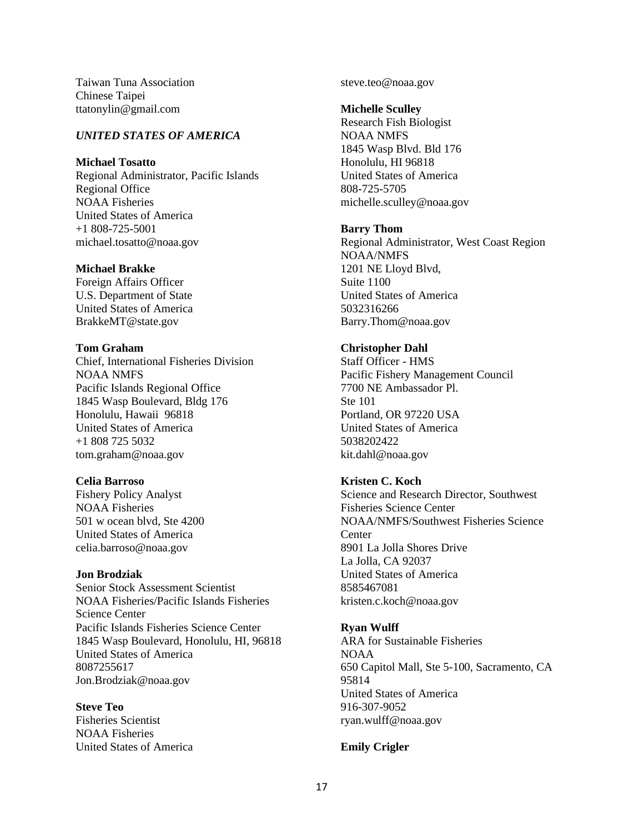Taiwan Tuna Association Chinese Taipei ttatonylin@gmail.com

#### *UNITED STATES OF AMERICA*

### **Michael Tosatto**

Regional Administrator, Pacific Islands Regional Office NOAA Fisheries United States of America +1 808-725-5001 michael.tosatto@noaa.gov

#### **Michael Brakke**

Foreign Affairs Officer U.S. Department of State United States of America BrakkeMT@state.gov

#### **Tom Graham**

Chief, International Fisheries Division NOAA NMFS Pacific Islands Regional Office 1845 Wasp Boulevard, Bldg 176 Honolulu, Hawaii 96818 United States of America +1 808 725 5032 tom.graham@noaa.gov

### **Celia Barroso**

Fishery Policy Analyst NOAA Fisheries 501 w ocean blvd, Ste 4200 United States of America celia.barroso@noaa.gov

### **Jon Brodziak**

Senior Stock Assessment Scientist NOAA Fisheries/Pacific Islands Fisheries Science Center Pacific Islands Fisheries Science Center 1845 Wasp Boulevard, Honolulu, HI, 96818 United States of America 8087255617 Jon.Brodziak@noaa.gov

#### **Steve Teo**

Fisheries Scientist NOAA Fisheries United States of America steve.teo@noaa.gov

#### **Michelle Sculley**

Research Fish Biologist NOAA NMFS 1845 Wasp Blvd. Bld 176 Honolulu, HI 96818 United States of America 808-725-5705 michelle.sculley@noaa.gov

#### **Barry Thom**

Regional Administrator, West Coast Region NOAA/NMFS 1201 NE Lloyd Blvd, Suite 1100 United States of America 5032316266 Barry.Thom@noaa.gov

### **Christopher Dahl**

Staff Officer - HMS Pacific Fishery Management Council 7700 NE Ambassador Pl. Ste 101 Portland, OR 97220 USA United States of America 5038202422 kit.dahl@noaa.gov

### **Kristen C. Koch**

Science and Research Director, Southwest Fisheries Science Center NOAA/NMFS/Southwest Fisheries Science **Center** 8901 La Jolla Shores Drive La Jolla, CA 92037 United States of America 8585467081 kristen.c.koch@noaa.gov

### **Ryan Wulff**

ARA for Sustainable Fisheries NOAA 650 Capitol Mall, Ste 5-100, Sacramento, CA 95814 United States of America 916-307-9052 ryan.wulff@noaa.gov

### **Emily Crigler**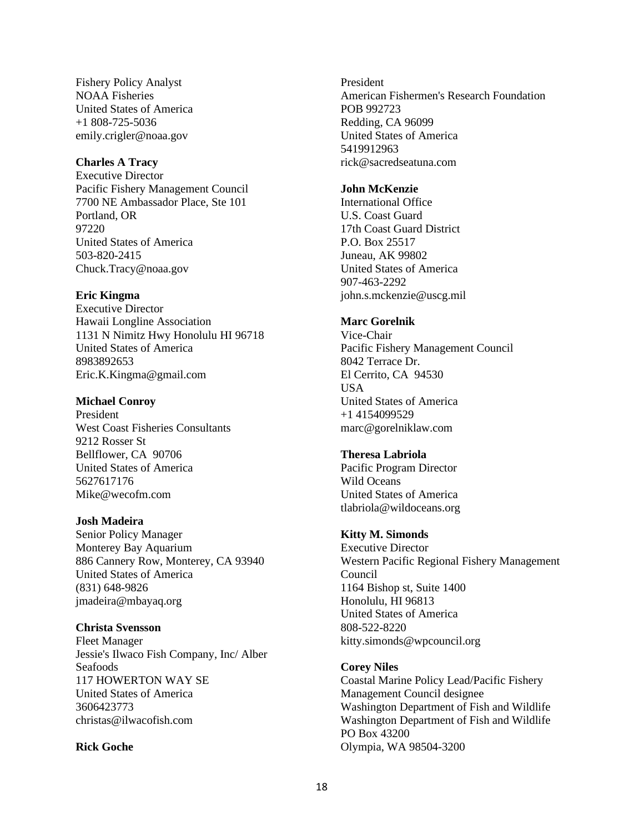Fishery Policy Analyst NOAA Fisheries United States of America +1 808-725-5036 emily.crigler@noaa.gov

### **Charles A Tracy**

Executive Director Pacific Fishery Management Council 7700 NE Ambassador Place, Ste 101 Portland, OR 97220 United States of America 503-820-2415 Chuck.Tracy@noaa.gov

### **Eric Kingma**

Executive Director Hawaii Longline Association 1131 N Nimitz Hwy Honolulu HI 96718 United States of America 8983892653 Eric.K.Kingma@gmail.com

### **Michael Conroy**

President West Coast Fisheries Consultants 9212 Rosser St Bellflower, CA 90706 United States of America 5627617176 Mike@wecofm.com

#### **Josh Madeira**

Senior Policy Manager Monterey Bay Aquarium 886 Cannery Row, Monterey, CA 93940 United States of America (831) 648-9826 jmadeira@mbayaq.org

### **Christa Svensson**

Fleet Manager Jessie's Ilwaco Fish Company, Inc/ Alber Seafoods 117 HOWERTON WAY SE United States of America 3606423773 christas@ilwacofish.com

#### **Rick Goche**

President American Fishermen's Research Foundation POB 992723 Redding, CA 96099 United States of America 5419912963 rick@sacredseatuna.com

#### **John McKenzie**

International Office U.S. Coast Guard 17th Coast Guard District P.O. Box 25517 Juneau, AK 99802 United States of America 907-463-2292 john.s.mckenzie@uscg.mil

### **Marc Gorelnik**

Vice-Chair Pacific Fishery Management Council 8042 Terrace Dr. El Cerrito, CA 94530 USA United States of America +1 4154099529 marc@gorelniklaw.com

### **Theresa Labriola**

Pacific Program Director Wild Oceans United States of America tlabriola@wildoceans.org

### **Kitty M. Simonds**

Executive Director Western Pacific Regional Fishery Management Council 1164 Bishop st, Suite 1400 Honolulu, HI 96813 United States of America 808-522-8220 kitty.simonds@wpcouncil.org

### **Corey Niles**

Coastal Marine Policy Lead/Pacific Fishery Management Council designee Washington Department of Fish and Wildlife Washington Department of Fish and Wildlife PO Box 43200 Olympia, WA 98504-3200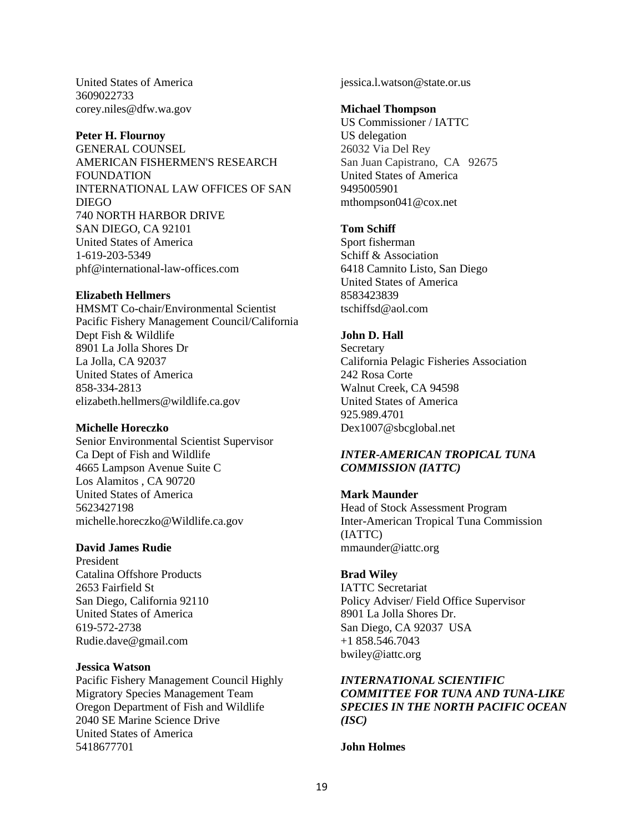United States of America 3609022733 corey.niles@dfw.wa.gov

#### **Peter H. Flournoy**

GENERAL COUNSEL AMERICAN FISHERMEN'S RESEARCH FOUNDATION INTERNATIONAL LAW OFFICES OF SAN DIEGO 740 NORTH HARBOR DRIVE SAN DIEGO, CA 92101 United States of America 1-619-203-5349 phf@international-law-offices.com

#### **Elizabeth Hellmers**

HMSMT Co-chair/Environmental Scientist Pacific Fishery Management Council/California Dept Fish & Wildlife 8901 La Jolla Shores Dr La Jolla, CA 92037 United States of America 858-334-2813 elizabeth.hellmers@wildlife.ca.gov

### **Michelle Horeczko**

Senior Environmental Scientist Supervisor Ca Dept of Fish and Wildlife 4665 Lampson Avenue Suite C Los Alamitos , CA 90720 United States of America 5623427198 michelle.horeczko@Wildlife.ca.gov

#### **David James Rudie**

President Catalina Offshore Products 2653 Fairfield St San Diego, California 92110 United States of America 619-572-2738 Rudie.dave@gmail.com

### **Jessica Watson**

Pacific Fishery Management Council Highly Migratory Species Management Team Oregon Department of Fish and Wildlife 2040 SE Marine Science Drive United States of America 5418677701

jessica.l.watson@state.or.us

#### **Michael Thompson**

US Commissioner / IATTC US delegation 26032 Via Del Rey San Juan Capistrano, CA 92675 United States of America 9495005901 mthompson041@cox.net

### **Tom Schiff**

Sport fisherman Schiff & Association 6418 Camnito Listo, San Diego United States of America 8583423839 tschiffsd@aol.com

### **John D. Hall**

**Secretary** California Pelagic Fisheries Association 242 Rosa Corte Walnut Creek, CA 94598 United States of America 925.989.4701 Dex1007@sbcglobal.net

### *INTER-AMERICAN TROPICAL TUNA COMMISSION (IATTC)*

### **Mark Maunder**

Head of Stock Assessment Program Inter-American Tropical Tuna Commission (IATTC) mmaunder@iattc.org

### **Brad Wiley**

IATTC Secretariat Policy Adviser/ Field Office Supervisor 8901 La Jolla Shores Dr. San Diego, CA 92037 USA +1 858.546.7043 bwiley@iattc.org

*INTERNATIONAL SCIENTIFIC COMMITTEE FOR TUNA AND TUNA-LIKE SPECIES IN THE NORTH PACIFIC OCEAN (ISC)*

**John Holmes**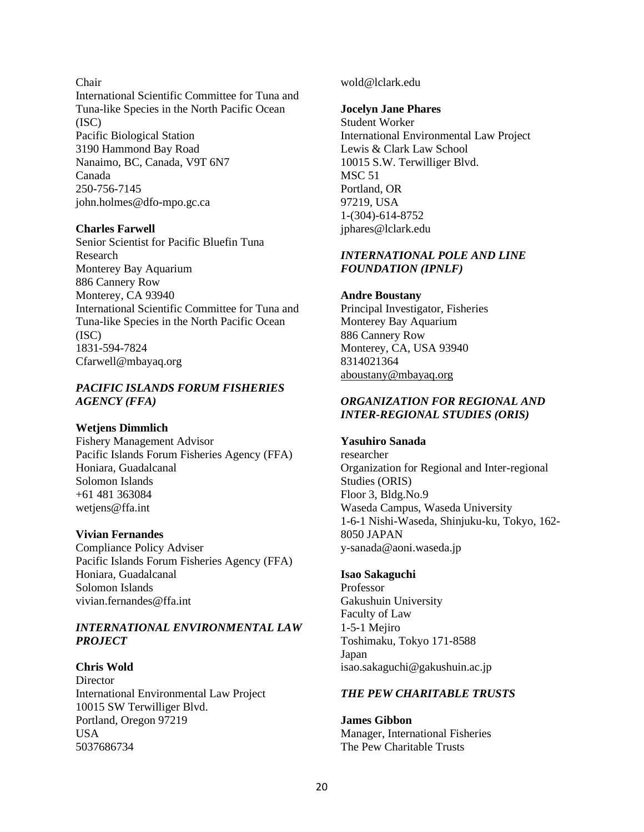### Chair

International Scientific Committee for Tuna and Tuna-like Species in the North Pacific Ocean (ISC) Pacific Biological Station 3190 Hammond Bay Road Nanaimo, BC, Canada, V9T 6N7 Canada 250-756-7145 john.holmes@dfo-mpo.gc.ca

### **Charles Farwell**

Senior Scientist for Pacific Bluefin Tuna Research Monterey Bay Aquarium 886 Cannery Row Monterey, CA 93940 International Scientific Committee for Tuna and Tuna-like Species in the North Pacific Ocean (ISC) 1831-594-7824 Cfarwell@mbayaq.org

### *PACIFIC ISLANDS FORUM FISHERIES AGENCY (FFA)*

### **Wetjens Dimmlich**

Fishery Management Advisor Pacific Islands Forum Fisheries Agency (FFA) Honiara, Guadalcanal Solomon Islands +61 481 363084 wetjens@ffa.int

### **Vivian Fernandes**

Compliance Policy Adviser Pacific Islands Forum Fisheries Agency (FFA) Honiara, Guadalcanal Solomon Islands vivian.fernandes@ffa.int

### *INTERNATIONAL ENVIRONMENTAL LAW PROJECT*

**Chris Wold Director** International Environmental Law Project 10015 SW Terwilliger Blvd. Portland, Oregon 97219 USA 5037686734

wold@lclark.edu

#### **Jocelyn Jane Phares**

Student Worker International Environmental Law Project Lewis & Clark Law School 10015 S.W. Terwilliger Blvd. MSC 51 Portland, OR 97219, USA 1-(304)-614-8752 jphares@lclark.edu

### *INTERNATIONAL POLE AND LINE FOUNDATION (IPNLF)*

#### **Andre Boustany**

Principal Investigator, Fisheries Monterey Bay Aquarium 886 Cannery Row Monterey, CA, USA 93940 8314021364 [aboustany@mbayaq.org](mailto:aboustany@mbayaq.org)

### *ORGANIZATION FOR REGIONAL AND INTER-REGIONAL STUDIES (ORIS)*

### **Yasuhiro Sanada**

researcher Organization for Regional and Inter-regional Studies (ORIS) Floor 3, Bldg.No.9 Waseda Campus, Waseda University 1-6-1 Nishi-Waseda, Shinjuku-ku, Tokyo, 162- 8050 JAPAN y-sanada@aoni.waseda.jp

### **Isao Sakaguchi**

Professor Gakushuin University Faculty of Law 1-5-1 Mejiro Toshimaku, Tokyo 171-8588 Japan isao.sakaguchi@gakushuin.ac.jp

#### *THE PEW CHARITABLE TRUSTS*

**James Gibbon** Manager, International Fisheries The Pew Charitable Trusts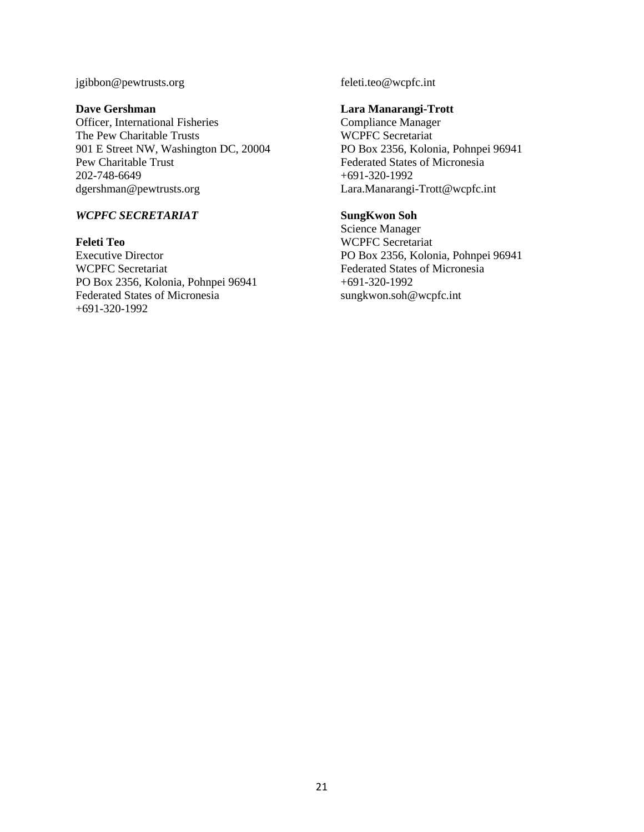### jgibbon@pewtrusts.org

#### **Dave Gershman**

Officer, International Fisheries The Pew Charitable Trusts 901 E Street NW, Washington DC, 20004 Pew Charitable Trust 202-748-6649 dgershman@pewtrusts.org

## *WCPFC SECRETARIAT*

**Feleti Teo** Executive Director WCPFC Secretariat PO Box 2356, Kolonia, Pohnpei 96941 Federated States of Micronesia +691-320-1992

feleti.teo@wcpfc.int

#### **Lara Manarangi-Trott**

Compliance Manager WCPFC Secretariat PO Box 2356, Kolonia, Pohnpei 96941 Federated States of Micronesia +691-320-1992 Lara.Manarangi-Trott@wcpfc.int

### **SungKwon Soh**

Science Manager WCPFC Secretariat PO Box 2356, Kolonia, Pohnpei 96941 Federated States of Micronesia +691-320-1992 [sungkwon.soh@wcpfc.int](mailto:sungkwon.soh@wcpfc.int)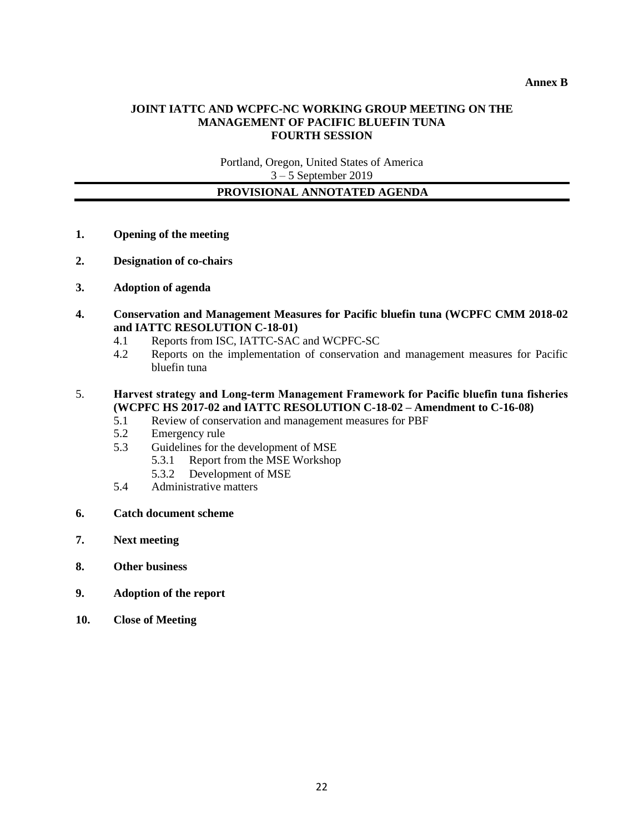### **JOINT IATTC AND WCPFC-NC WORKING GROUP MEETING ON THE MANAGEMENT OF PACIFIC BLUEFIN TUNA FOURTH SESSION**

Portland, Oregon, United States of America 3 – 5 September 2019

### **PROVISIONAL ANNOTATED AGENDA**

- **1. Opening of the meeting**
- **2. Designation of co-chairs**
- **3. Adoption of agenda**
- **4. Conservation and Management Measures for Pacific bluefin tuna (WCPFC CMM 2018-02 and IATTC RESOLUTION C-18-01)** 
	- 4.1 Reports from ISC, IATTC-SAC and WCPFC-SC
	- 4.2 Reports on the implementation of conservation and management measures for Pacific bluefin tuna

### 5. **Harvest strategy and Long-term Management Framework for Pacific bluefin tuna fisheries (WCPFC HS 2017-02 and IATTC RESOLUTION C-18-02 – Amendment to C-16-08)**

- 5.1 Review of conservation and management measures for PBF
- 5.2 Emergency rule
- 5.3 Guidelines for the development of MSE
	- 5.3.1 Report from the MSE Workshop
	- 5.3.2 Development of MSE
- 5.4 Administrative matters
- **6. Catch document scheme**
- **7. Next meeting**
- **8. Other business**
- **9. Adoption of the report**
- **10. Close of Meeting**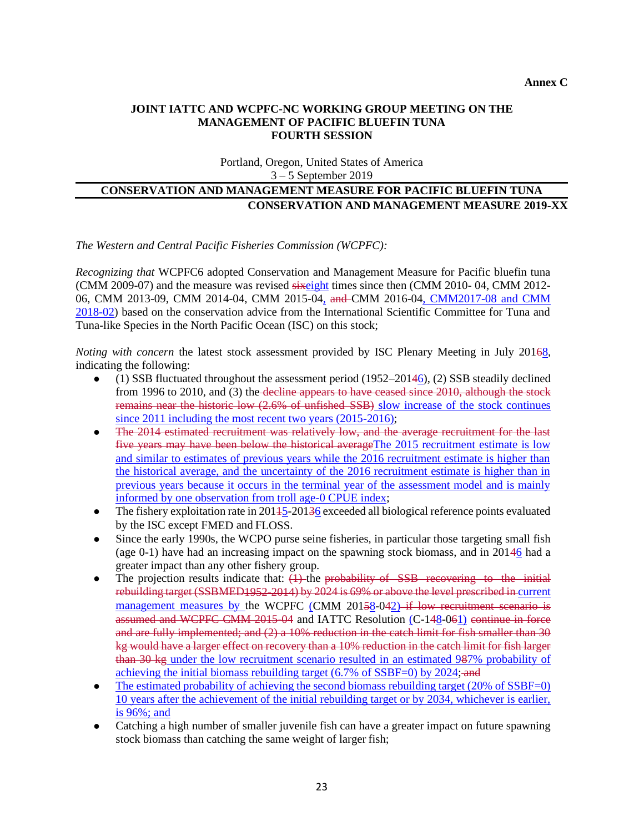### **JOINT IATTC AND WCPFC-NC WORKING GROUP MEETING ON THE MANAGEMENT OF PACIFIC BLUEFIN TUNA FOURTH SESSION**

Portland, Oregon, United States of America 3 – 5 September 2019

# **CONSERVATION AND MANAGEMENT MEASURE FOR PACIFIC BLUEFIN TUNA CONSERVATION AND MANAGEMENT MEASURE 2019-XX**

*The Western and Central Pacific Fisheries Commission (WCPFC):*

*Recognizing that* WCPFC6 adopted Conservation and Management Measure for Pacific bluefin tuna (CMM 2009-07) and the measure was revised sixeight times since then (CMM 2010- 04, CMM 2012- 06, CMM 2013-09, CMM 2014-04, CMM 2015-04, and CMM 2016-04, CMM2017-08 and CMM 2018-02) based on the conservation advice from the International Scientific Committee for Tuna and Tuna-like Species in the North Pacific Ocean (ISC) on this stock;

*Noting with concern* the latest stock assessment provided by ISC Plenary Meeting in July 20168, indicating the following:

- $(1)$  SSB fluctuated throughout the assessment period  $(1952-20146)$ ,  $(2)$  SSB steadily declined from 1996 to 2010, and (3) the decline appears to have ceased since 2010, although the stock remains near the historic low (2.6% of unfished SSB) slow increase of the stock continues since 2011 including the most recent two years (2015-2016);
- The 2014 estimated recruitment was relatively low, and the average recruitment for the last five years may have been below the historical averageThe 2015 recruitment estimate is low and similar to estimates of previous years while the 2016 recruitment estimate is higher than the historical average, and the uncertainty of the 2016 recruitment estimate is higher than in previous years because it occurs in the terminal year of the assessment model and is mainly informed by one observation from troll age-0 CPUE index;
- The fishery exploitation rate in 20145-20136 exceeded all biological reference points evaluated by the ISC except FMED and FLOSS.
- Since the early 1990s, the WCPO purse seine fisheries, in particular those targeting small fish (age  $0-1$ ) have had an increasing impact on the spawning stock biomass, and in  $20146$  had a greater impact than any other fishery group.
- $\bullet$  The projection results indicate that:  $(1)$ -the probability of SSB recovering to the initial rebuilding target (SSBMED1952-2014) by 2024 is 69% or above the level prescribed in current management measures by the WCPFC (CMM 20158-042) if low recruitment scenario is assumed and WCPFC CMM 2015-04 and IATTC Resolution (C-148-061) continue in force and are fully implemented; and (2) a 10% reduction in the catch limit for fish smaller than 30 kg would have a larger effect on recovery than a 10% reduction in the catch limit for fish larger than 30 kg under the low recruitment scenario resulted in an estimated 987% probability of achieving the initial biomass rebuilding target (6.7% of SSBF=0) by 2024; and
- ⚫ The estimated probability of achieving the second biomass rebuilding target (20% of SSBF=0) 10 years after the achievement of the initial rebuilding target or by 2034, whichever is earlier, is 96%; and
- ⚫ Catching a high number of smaller juvenile fish can have a greater impact on future spawning stock biomass than catching the same weight of larger fish;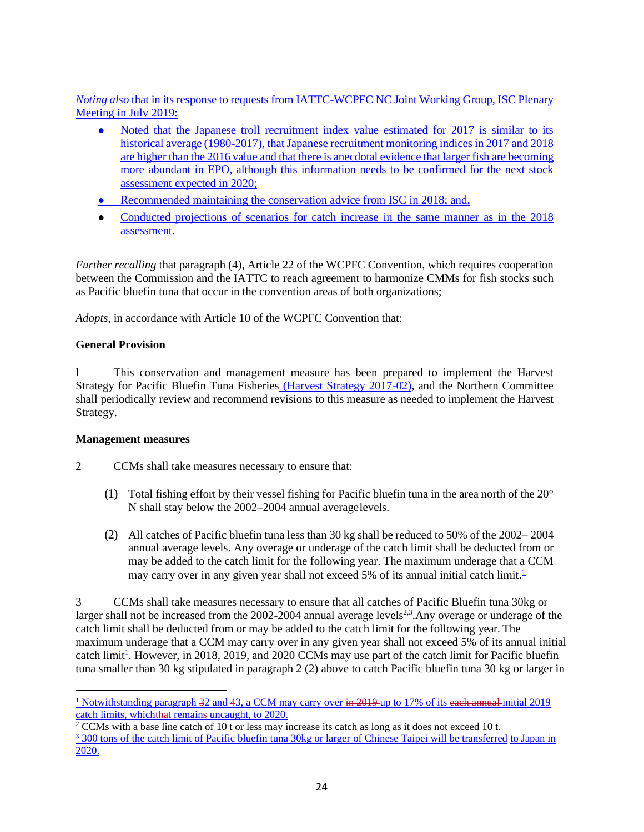*Noting also* that in its response to requests from IATTC-WCPFC NC Joint Working Group, ISC Plenary Meeting in July 2019:

- Noted that the Japanese troll recruitment index value estimated for 2017 is similar to its historical average (1980-2017), that Japanese recruitment monitoring indices in 2017 and 2018 are higher than the 2016 value and that there is anecdotal evidence that larger fish are becoming more abundant in EPO, although this information needs to be confirmed for the next stock assessment expected in 2020;
- Recommended maintaining the conservation advice from ISC in 2018; and,
- ⚫ Conducted projections of scenarios for catch increase in the same manner as in the 2018 assessment.

*Further recalling that paragraph (4), Article 22 of the WCPFC Convention, which requires cooperation* between the Commission and the IATTC to reach agreement to harmonize CMMs for fish stocks such as Pacific bluefin tuna that occur in the convention areas of both organizations;

*Adopts*, in accordance with Article 10 of the WCPFC Convention that:

## **General Provision**

1 This conservation and management measure has been prepared to implement the Harvest Strategy for Pacific Bluefin Tuna Fisheries (Harvest Strategy 2017-02), and the Northern Committee shall periodically review and recommend revisions to this measure as needed to implement the Harvest Strategy.

## **Management measures**

- 2 CCMs shall take measures necessary to ensure that:
	- (1) Total fishing effort by their vessel fishing for Pacific bluefin tuna in the area north of the 20° N shall stay below the 2002–2004 annual averagelevels.
	- (2) All catches of Pacific bluefin tuna less than 30 kg shall be reduced to 50% of the 2002– 2004 annual average levels. Any overage or underage of the catch limit shall be deducted from or may be added to the catch limit for the following year. The maximum underage that a CCM may carry over in any given year shall not exceed 5% of its annual initial catch limit.<sup>1</sup>

3 CCMs shall take measures necessary to ensure that all catches of Pacific Bluefin tuna 30kg or larger shall not be increased from the 2002-2004 annual average levels<sup>2, 3</sup>. Any overage or underage of the catch limit shall be deducted from or may be added to the catch limit for the following year. The maximum underage that a CCM may carry over in any given year shall not exceed 5% of its annual initial catch limit<sup>1</sup>. However, in 2018, 2019, and 2020 CCMs may use part of the catch limit for Pacific bluefin tuna smaller than 30 kg stipulated in paragraph 2 (2) above to catch Pacific bluefin tuna 30 kg or larger in

<sup>&</sup>lt;sup>1</sup> Notwithstanding paragraph  $32$  and  $43$ , a CCM may carry over  $\frac{1}{2}$  and  $\frac{1}{2}$  and  $\frac{1}{9}$  of its each annual initial 2019 catch limits, whichthat remains uncaught, to 2020.

 $2$  CCMs with a base line catch of 10 t or less may increase its catch as long as it does not exceed 10 t. <sup>3</sup> 300 tons of the catch limit of Pacific bluefin tuna 30kg or larger of Chinese Taipei will be transferred to Japan in 2020.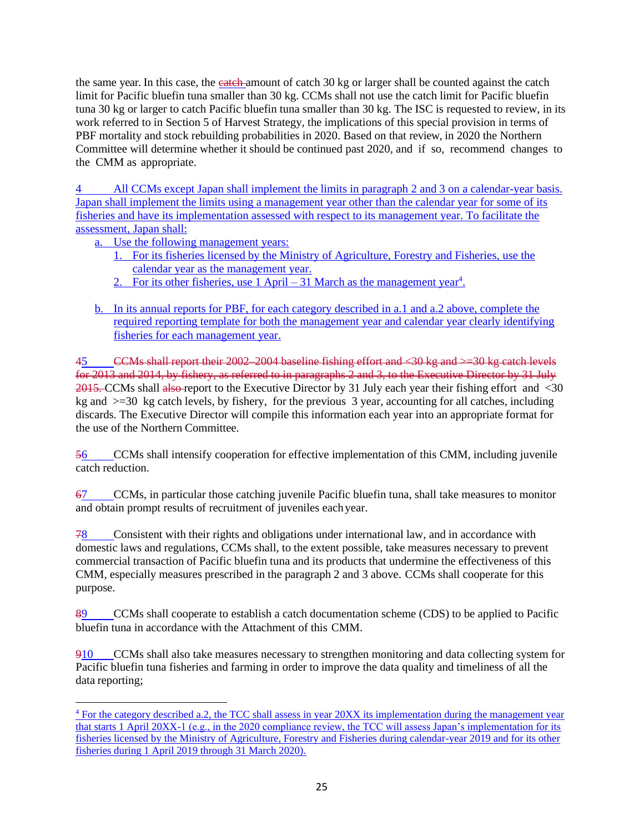the same year. In this case, the **catch**-amount of catch 30 kg or larger shall be counted against the catch limit for Pacific bluefin tuna smaller than 30 kg. CCMs shall not use the catch limit for Pacific bluefin tuna 30 kg or larger to catch Pacific bluefin tuna smaller than 30 kg. The ISC is requested to review, in its work referred to in Section 5 of Harvest Strategy, the implications of this special provision in terms of PBF mortality and stock rebuilding probabilities in 2020. Based on that review, in 2020 the Northern Committee will determine whether it should be continued past 2020, and if so, recommend changes to the CMM as appropriate.

All CCMs except Japan shall implement the limits in paragraph 2 and 3 on a calendar-year basis. Japan shall implement the limits using a management year other than the calendar year for some of its fisheries and have its implementation assessed with respect to its management year. To facilitate the assessment, Japan shall:

a. Use the following management years:

- 1. For its fisheries licensed by the Ministry of Agriculture, Forestry and Fisheries, use the calendar year as the management year.
- 2. For its other fisheries, use  $1$  April  $-31$  March as the management year<sup>4</sup>.
- b. In its annual reports for PBF, for each category described in a.1 and a.2 above, complete the required reporting template for both the management year and calendar year clearly identifying fisheries for each management year.

45 CCMs shall report their 2002–2004 baseline fishing effort and <30 kg and >=30 kg catch levels for 2013 and 2014, by fishery, as referred to in paragraphs 2 and 3, to the Executive Director by 31 July 2015. CCMs shall also report to the Executive Director by 31 July each year their fishing effort and <30 kg and  $\geq$ =30 kg catch levels, by fishery, for the previous 3 year, accounting for all catches, including discards. The Executive Director will compile this information each year into an appropriate format for the use of the Northern Committee.

56 CCMs shall intensify cooperation for effective implementation of this CMM, including juvenile catch reduction.

67 CCMs, in particular those catching juvenile Pacific bluefin tuna, shall take measures to monitor and obtain prompt results of recruitment of juveniles eachyear.

78 Consistent with their rights and obligations under international law, and in accordance with domestic laws and regulations, CCMs shall, to the extent possible, take measures necessary to prevent commercial transaction of Pacific bluefin tuna and its products that undermine the effectiveness of this CMM, especially measures prescribed in the paragraph 2 and 3 above. CCMs shall cooperate for this purpose.

89 CCMs shall cooperate to establish a catch documentation scheme (CDS) to be applied to Pacific bluefin tuna in accordance with the Attachment of this CMM.

910 CCMs shall also take measures necessary to strengthen monitoring and data collecting system for Pacific bluefin tuna fisheries and farming in order to improve the data quality and timeliness of all the data reporting;

 $4$  For the category described a.2, the TCC shall assess in year 20XX its implementation during the management year that starts 1 April 20XX-1 (e.g., in the 2020 compliance review, the TCC will assess Japan's implementation for its fisheries licensed by the Ministry of Agriculture, Forestry and Fisheries during calendar-year 2019 and for its other fisheries during 1 April 2019 through 31 March 2020).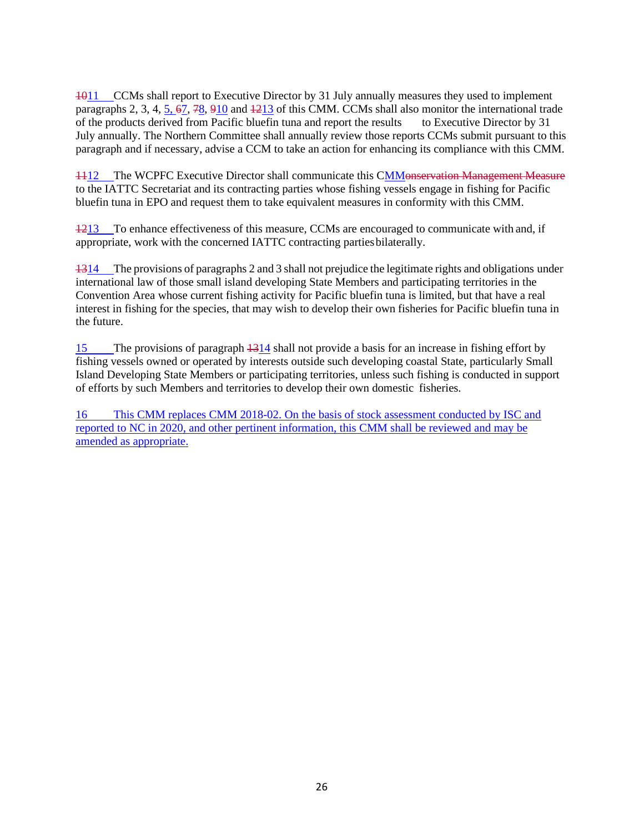1011 CCMs shall report to Executive Director by 31 July annually measures they used to implement paragraphs 2, 3, 4, 5, 67, 78, 910 and 1213 of this CMM. CCMs shall also monitor the international trade of the products derived from Pacific bluefin tuna and report the results to Executive Director by 31 July annually. The Northern Committee shall annually review those reports CCMs submit pursuant to this paragraph and if necessary, advise a CCM to take an action for enhancing its compliance with this CMM.

1112 The WCPFC Executive Director shall communicate this CMMonservation Management Measure to the IATTC Secretariat and its contracting parties whose fishing vessels engage in fishing for Pacific bluefin tuna in EPO and request them to take equivalent measures in conformity with this CMM.

1213 To enhance effectiveness of this measure, CCMs are encouraged to communicate with and, if appropriate, work with the concerned IATTC contracting partiesbilaterally.

1314 The provisions of paragraphs 2 and 3 shall not prejudice the legitimate rights and obligations under international law of those small island developing State Members and participating territories in the Convention Area whose current fishing activity for Pacific bluefin tuna is limited, but that have a real interest in fishing for the species, that may wish to develop their own fisheries for Pacific bluefin tuna in the future.

15 The provisions of paragraph 1314 shall not provide a basis for an increase in fishing effort by fishing vessels owned or operated by interests outside such developing coastal State, particularly Small Island Developing State Members or participating territories, unless such fishing is conducted in support of efforts by such Members and territories to develop their own domestic fisheries.

16 This CMM replaces CMM 2018-02. On the basis of stock assessment conducted by ISC and reported to NC in 2020, and other pertinent information, this CMM shall be reviewed and may be amended as appropriate.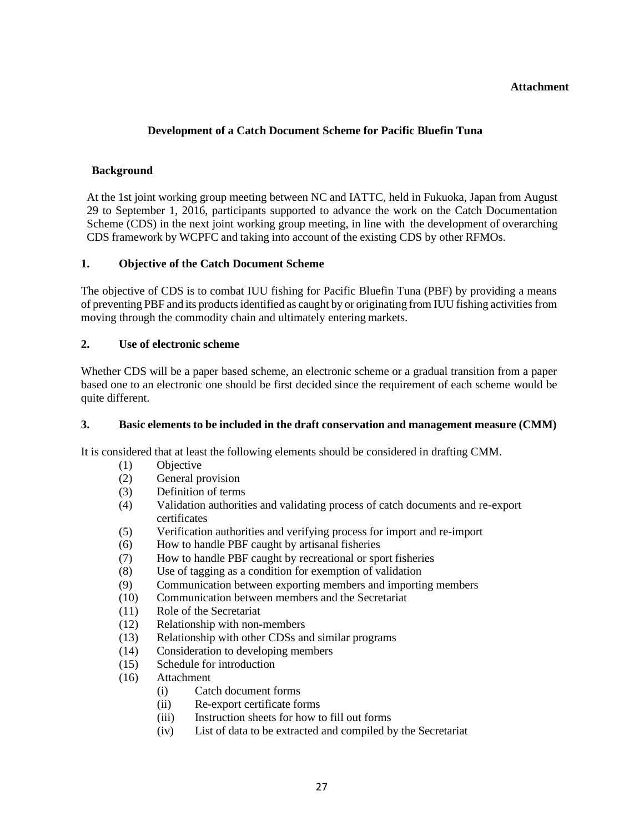### **Attachment**

# **Development of a Catch Document Scheme for Pacific Bluefin Tuna**

### **Background**

At the 1st joint working group meeting between NC and IATTC, held in Fukuoka, Japan from August 29 to September 1, 2016, participants supported to advance the work on the Catch Documentation Scheme (CDS) in the next joint working group meeting, in line with the development of overarching CDS framework by WCPFC and taking into account of the existing CDS by other RFMOs.

### **1. Objective of the Catch Document Scheme**

The objective of CDS is to combat IUU fishing for Pacific Bluefin Tuna (PBF) by providing a means of preventing PBF and its productsidentified as caught by or originating from IUU fishing activities from moving through the commodity chain and ultimately entering markets.

### **2. Use of electronic scheme**

Whether CDS will be a paper based scheme, an electronic scheme or a gradual transition from a paper based one to an electronic one should be first decided since the requirement of each scheme would be quite different.

### **3. Basic elements to be included in the draft conservation and management measure (CMM)**

It is considered that at least the following elements should be considered in drafting CMM.

- (1) Objective
- (2) General provision
- (3) Definition of terms
- (4) Validation authorities and validating process of catch documents and re-export certificates
- (5) Verification authorities and verifying process for import and re-import
- (6) How to handle PBF caught by artisanal fisheries
- (7) How to handle PBF caught by recreational or sport fisheries
- (8) Use of tagging as a condition for exemption of validation
- (9) Communication between exporting members and importing members
- (10) Communication between members and the Secretariat
- (11) Role of the Secretariat
- (12) Relationship with non-members
- (13) Relationship with other CDSs and similar programs
- (14) Consideration to developing members
- (15) Schedule for introduction
- (16) Attachment
	- (i) Catch document forms
	- (ii) Re-export certificate forms
	- (iii) Instruction sheets for how to fill out forms
	- (iv) List of data to be extracted and compiled by the Secretariat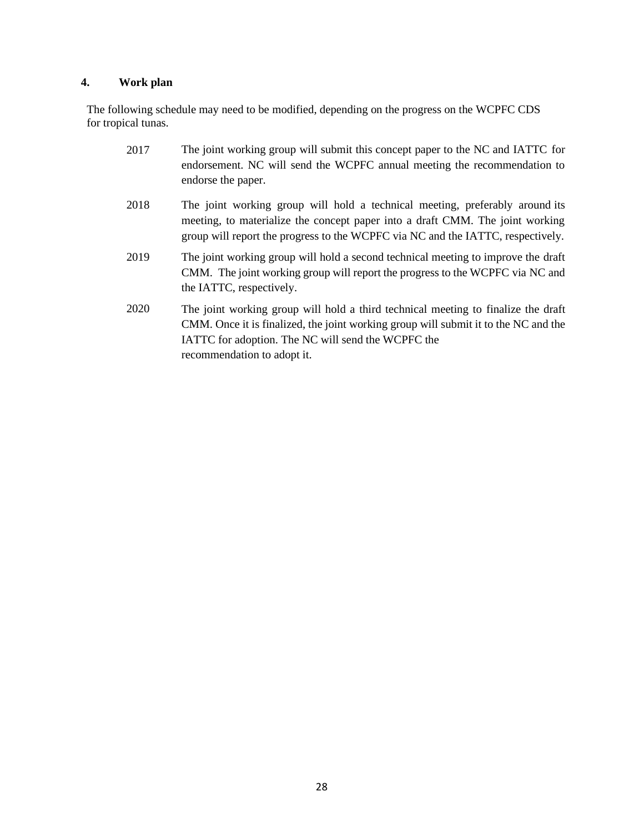### **4. Work plan**

The following schedule may need to be modified, depending on the progress on the WCPFC CDS for tropical tunas.

- 2017 The joint working group will submit this concept paper to the NC and IATTC for endorsement. NC will send the WCPFC annual meeting the recommendation to endorse the paper.
- 2018 The joint working group will hold a technical meeting, preferably around its meeting, to materialize the concept paper into a draft CMM. The joint working group will report the progress to the WCPFC via NC and the IATTC, respectively.
- 2019 The joint working group will hold a second technical meeting to improve the draft CMM. The joint working group will report the progress to the WCPFC via NC and the IATTC, respectively.
- 2020 The joint working group will hold a third technical meeting to finalize the draft CMM. Once it is finalized, the joint working group will submit it to the NC and the IATTC for adoption. The NC will send the WCPFC the recommendation to adopt it.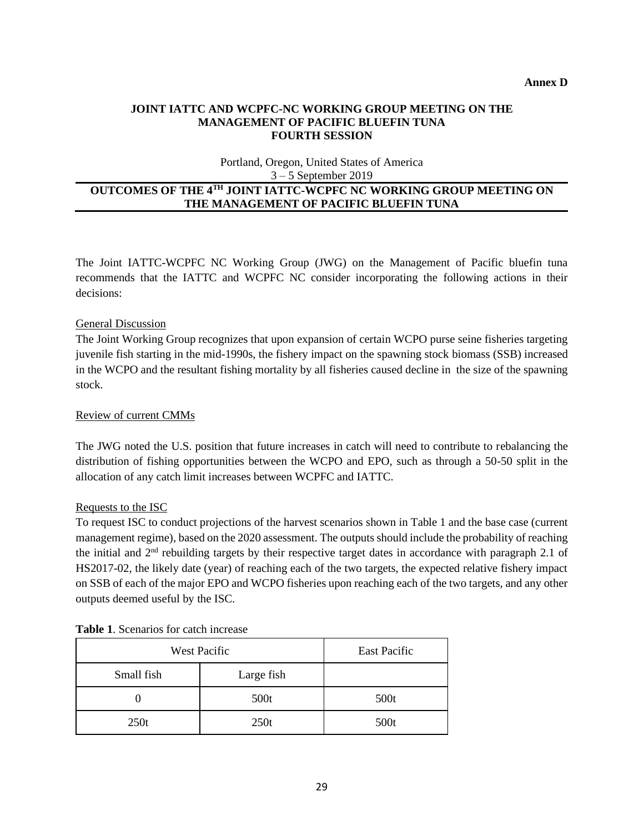### **JOINT IATTC AND WCPFC-NC WORKING GROUP MEETING ON THE MANAGEMENT OF PACIFIC BLUEFIN TUNA FOURTH SESSION**

Portland, Oregon, United States of America 3 – 5 September 2019

### **OUTCOMES OF THE 4TH JOINT IATTC-WCPFC NC WORKING GROUP MEETING ON THE MANAGEMENT OF PACIFIC BLUEFIN TUNA**

The Joint IATTC-WCPFC NC Working Group (JWG) on the Management of Pacific bluefin tuna recommends that the IATTC and WCPFC NC consider incorporating the following actions in their decisions:

### General Discussion

The Joint Working Group recognizes that upon expansion of certain WCPO purse seine fisheries targeting juvenile fish starting in the mid-1990s, the fishery impact on the spawning stock biomass (SSB) increased in the WCPO and the resultant fishing mortality by all fisheries caused decline in the size of the spawning stock.

### Review of current CMMs

The JWG noted the U.S. position that future increases in catch will need to contribute to rebalancing the distribution of fishing opportunities between the WCPO and EPO, such as through a 50-50 split in the allocation of any catch limit increases between WCPFC and IATTC.

### Requests to the ISC

To request ISC to conduct projections of the harvest scenarios shown in Table 1 and the base case (current management regime), based on the 2020 assessment. The outputs should include the probability of reaching the initial and 2nd rebuilding targets by their respective target dates in accordance with paragraph 2.1 of HS2017-02, the likely date (year) of reaching each of the two targets, the expected relative fishery impact on SSB of each of the major EPO and WCPO fisheries upon reaching each of the two targets, and any other outputs deemed useful by the ISC.

| <b>West Pacific</b> |            | East Pacific |
|---------------------|------------|--------------|
| Small fish          | Large fish |              |
|                     | 500t       | 500t         |
| 250t                | 250t       | 500t         |

| <b>Table 1.</b> Scenarios for catch increase |
|----------------------------------------------|
|                                              |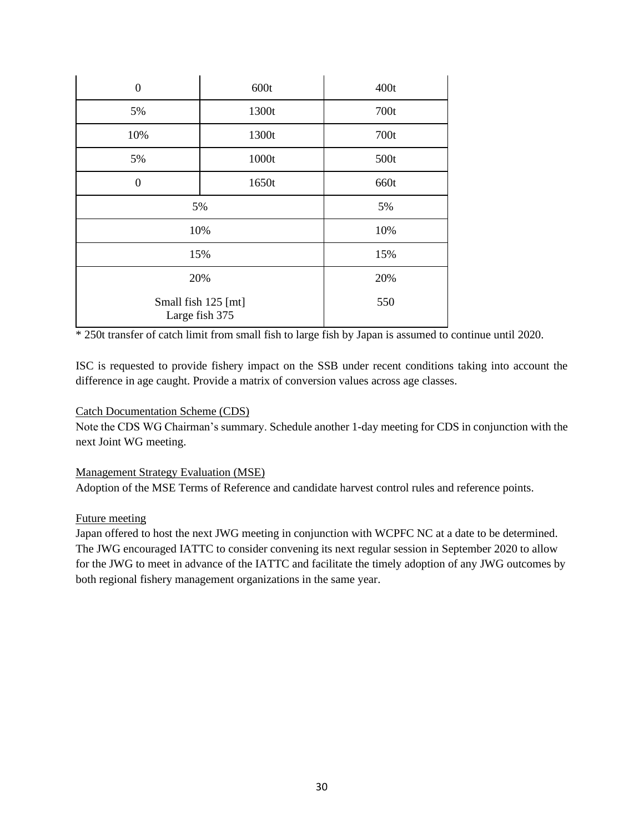| $\mathbf{0}$                          | 600t  | 400t |
|---------------------------------------|-------|------|
| 5%                                    | 1300t | 700t |
| 10%                                   | 1300t | 700t |
| 5%                                    | 1000t | 500t |
| $\overline{0}$                        | 1650t | 660t |
| 5%                                    |       | 5%   |
| 10%                                   |       | 10%  |
| 15%                                   |       | 15%  |
| 20%                                   |       | 20%  |
| Small fish 125 [mt]<br>Large fish 375 |       | 550  |

\* 250t transfer of catch limit from small fish to large fish by Japan is assumed to continue until 2020.

ISC is requested to provide fishery impact on the SSB under recent conditions taking into account the difference in age caught. Provide a matrix of conversion values across age classes.

### Catch Documentation Scheme (CDS)

Note the CDS WG Chairman's summary. Schedule another 1-day meeting for CDS in conjunction with the next Joint WG meeting.

### Management Strategy Evaluation (MSE)

Adoption of the MSE Terms of Reference and candidate harvest control rules and reference points.

### Future meeting

Japan offered to host the next JWG meeting in conjunction with WCPFC NC at a date to be determined. The JWG encouraged IATTC to consider convening its next regular session in September 2020 to allow for the JWG to meet in advance of the IATTC and facilitate the timely adoption of any JWG outcomes by both regional fishery management organizations in the same year.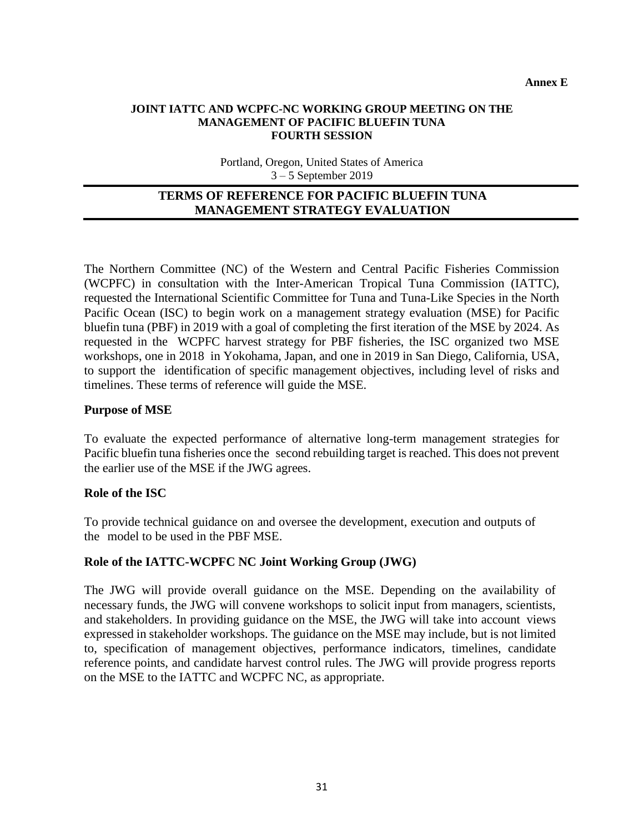### **JOINT IATTC AND WCPFC-NC WORKING GROUP MEETING ON THE MANAGEMENT OF PACIFIC BLUEFIN TUNA FOURTH SESSION**

Portland, Oregon, United States of America 3 – 5 September 2019

# **TERMS OF REFERENCE FOR PACIFIC BLUEFIN TUNA MANAGEMENT STRATEGY EVALUATION**

The Northern Committee (NC) of the Western and Central Pacific Fisheries Commission (WCPFC) in consultation with the Inter-American Tropical Tuna Commission (IATTC), requested the International Scientific Committee for Tuna and Tuna-Like Species in the North Pacific Ocean (ISC) to begin work on a management strategy evaluation (MSE) for Pacific bluefin tuna (PBF) in 2019 with a goal of completing the first iteration of the MSE by 2024. As requested in the WCPFC harvest strategy for PBF fisheries, the ISC organized two MSE workshops, one in 2018 in Yokohama, Japan, and one in 2019 in San Diego, California, USA, to support the identification of specific management objectives, including level of risks and timelines. These terms of reference will guide the MSE.

## **Purpose of MSE**

To evaluate the expected performance of alternative long-term management strategies for Pacific bluefin tuna fisheries once the second rebuilding target is reached. This does not prevent the earlier use of the MSE if the JWG agrees.

### **Role of the ISC**

To provide technical guidance on and oversee the development, execution and outputs of the model to be used in the PBF MSE.

## **Role of the IATTC-WCPFC NC Joint Working Group (JWG)**

The JWG will provide overall guidance on the MSE. Depending on the availability of necessary funds, the JWG will convene workshops to solicit input from managers, scientists, and stakeholders. In providing guidance on the MSE, the JWG will take into account views expressed in stakeholder workshops. The guidance on the MSE may include, but is not limited to, specification of management objectives, performance indicators, timelines, candidate reference points, and candidate harvest control rules. The JWG will provide progress reports on the MSE to the IATTC and WCPFC NC, as appropriate.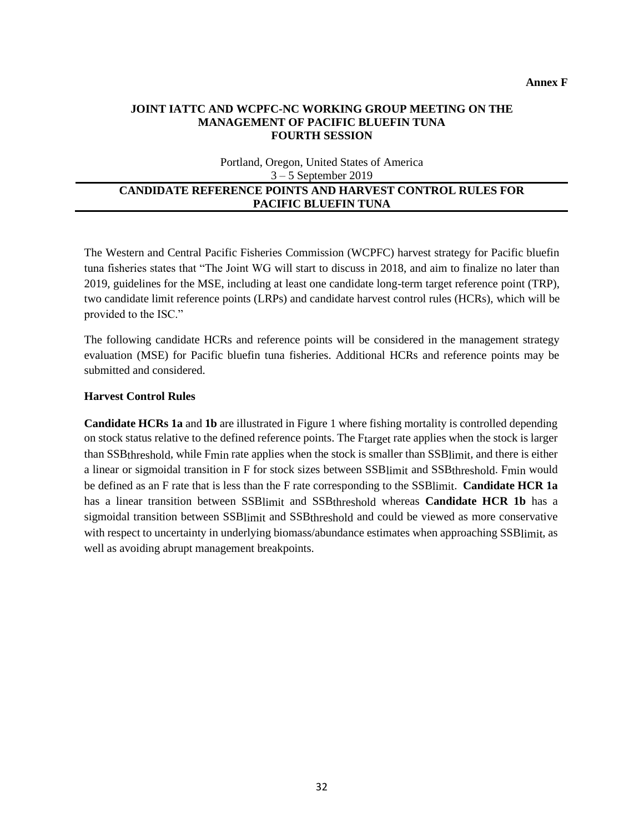#### **JOINT IATTC AND WCPFC-NC WORKING GROUP MEETING ON THE MANAGEMENT OF PACIFIC BLUEFIN TUNA FOURTH SESSION**

Portland, Oregon, United States of America 3 – 5 September 2019

#### **CANDIDATE REFERENCE POINTS AND HARVEST CONTROL RULES FOR PACIFIC BLUEFIN TUNA**

The Western and Central Pacific Fisheries Commission (WCPFC) harvest strategy for Pacific bluefin tuna fisheries states that "The Joint WG will start to discuss in 2018, and aim to finalize no later than 2019, guidelines for the MSE, including at least one candidate long-term target reference point (TRP), two candidate limit reference points (LRPs) and candidate harvest control rules (HCRs), which will be provided to the ISC."

The following candidate HCRs and reference points will be considered in the management strategy evaluation (MSE) for Pacific bluefin tuna fisheries. Additional HCRs and reference points may be submitted and considered.

#### **Harvest Control Rules**

**Candidate HCRs 1a** and **1b** are illustrated in Figure 1 where fishing mortality is controlled depending on stock status relative to the defined reference points. The Ftarget rate applies when the stock is larger than SSBthreshold, while Fmin rate applies when the stock is smaller than SSBlimit, and there is either a linear or sigmoidal transition in F for stock sizes between SSBlimit and SSBthreshold. Fmin would be defined as an F rate that is less than the F rate corresponding to the SSBlimit. **Candidate HCR 1a**  has a linear transition between SSBlimit and SSBthreshold whereas **Candidate HCR 1b** has a sigmoidal transition between SSBlimit and SSBthreshold and could be viewed as more conservative with respect to uncertainty in underlying biomass/abundance estimates when approaching SSB limit, as well as avoiding abrupt management breakpoints.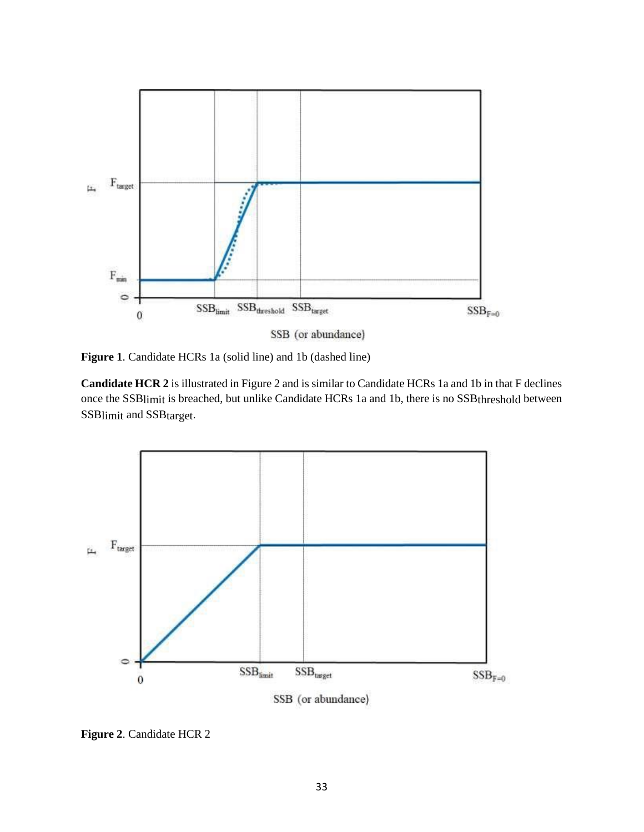

**Figure 1**. Candidate HCRs 1a (solid line) and 1b (dashed line)

**Candidate HCR 2** is illustrated in Figure 2 and is similar to Candidate HCRs 1a and 1b in that F declines once the SSBlimit is breached, but unlike Candidate HCRs 1a and 1b, there is no SSBthreshold between SSBlimit and SSBtarget.



**Figure 2**. Candidate HCR 2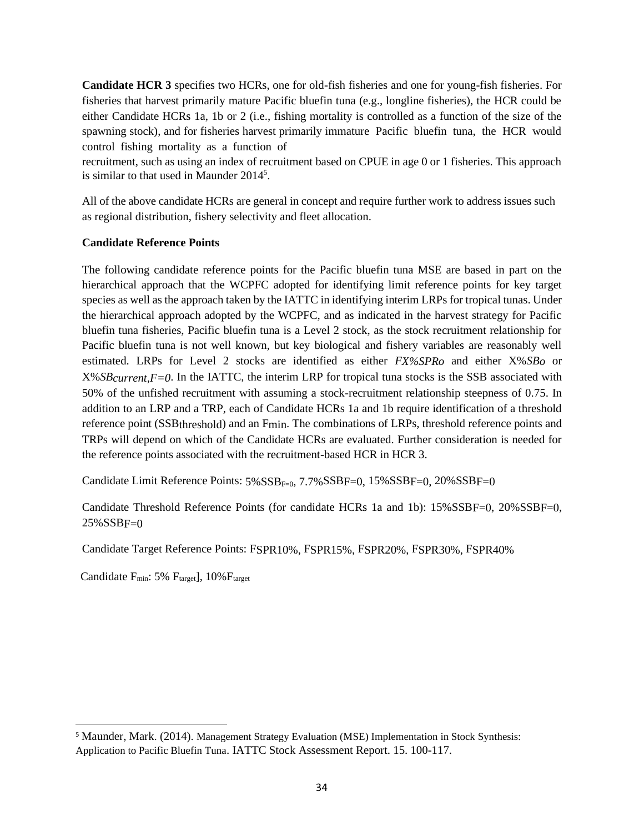**Candidate HCR 3** specifies two HCRs, one for old-fish fisheries and one for young-fish fisheries. For fisheries that harvest primarily mature Pacific bluefin tuna (e.g., longline fisheries), the HCR could be either Candidate HCRs 1a, 1b or 2 (i.e., fishing mortality is controlled as a function of the size of the spawning stock), and for fisheries harvest primarily immature Pacific bluefin tuna, the HCR would control fishing mortality as a function of

recruitment, such as using an index of recruitment based on CPUE in age 0 or 1 fisheries. This approach is similar to that used in Maunder 2014<sup>5</sup>.

All of the above candidate HCRs are general in concept and require further work to address issues such as regional distribution, fishery selectivity and fleet allocation.

### **Candidate Reference Points**

The following candidate reference points for the Pacific bluefin tuna MSE are based in part on the hierarchical approach that the WCPFC adopted for identifying limit reference points for key target species as well as the approach taken by the IATTC in identifying interim LRPs for tropical tunas. Under the hierarchical approach adopted by the WCPFC, and as indicated in the harvest strategy for Pacific bluefin tuna fisheries, Pacific bluefin tuna is a Level 2 stock, as the stock recruitment relationship for Pacific bluefin tuna is not well known, but key biological and fishery variables are reasonably well estimated. LRPs for Level 2 stocks are identified as either *FX%SPRo* and either X%*SBo* or X%*SBcurrent,F=0*. In the IATTC, the interim LRP for tropical tuna stocks is the SSB associated with 50% of the unfished recruitment with assuming a stock-recruitment relationship steepness of 0.75. In addition to an LRP and a TRP, each of Candidate HCRs 1a and 1b require identification of a threshold reference point (SSBthreshold) and an Fmin. The combinations of LRPs, threshold reference points and TRPs will depend on which of the Candidate HCRs are evaluated. Further consideration is needed for the reference points associated with the recruitment-based HCR in HCR 3.

Candidate Limit Reference Points:  $5\%SSB_{F=0}$ ,  $7.7\%SSB_{F=0}$ ,  $15\%SSB_{F=0}$ ,  $20\%SSB_{F=0}$ 

Candidate Threshold Reference Points (for candidate HCRs 1a and 1b): 15%SSBF=0, 20%SSBF=0,  $25\%$ SSBF=0

Candidate Target Reference Points: FSPR10%, FSPR15%, FSPR20%, FSPR30%, FSPR40%

Candidate F<sub>min</sub>: 5% F<sub>target</sub>], 10% F<sub>target</sub>

<sup>5</sup> Maunder, Mark. (2014). Management Strategy Evaluation (MSE) Implementation in Stock Synthesis: Application to Pacific Bluefin Tuna. IATTC Stock Assessment Report. 15. 100-117.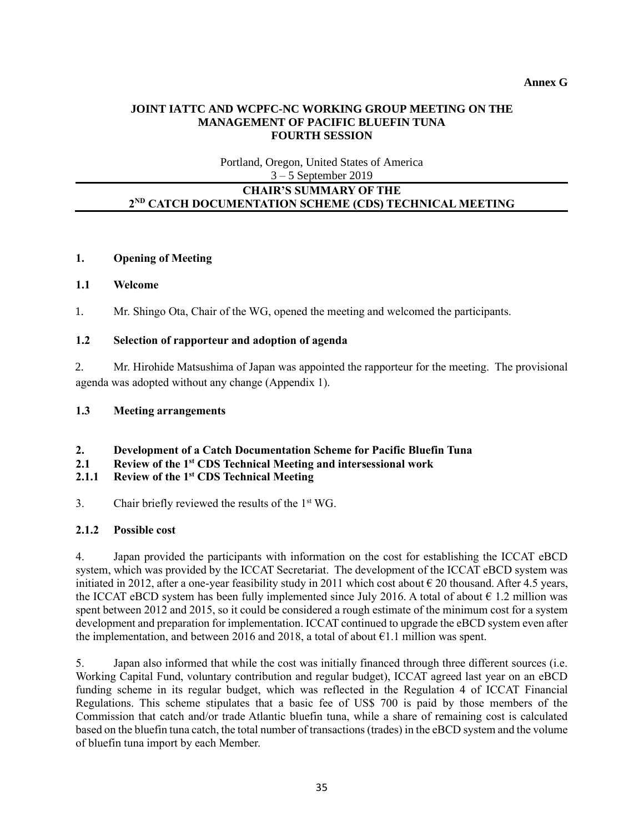### **JOINT IATTC AND WCPFC-NC WORKING GROUP MEETING ON THE MANAGEMENT OF PACIFIC BLUEFIN TUNA FOURTH SESSION**

Portland, Oregon, United States of America 3 – 5 September 2019

### **CHAIR'S SUMMARY OF THE 2 ND CATCH DOCUMENTATION SCHEME (CDS) TECHNICAL MEETING**

### **1. Opening of Meeting**

### **1.1 Welcome**

1. Mr. Shingo Ota, Chair of the WG, opened the meeting and welcomed the participants.

### **1.2 Selection of rapporteur and adoption of agenda**

2. Mr. Hirohide Matsushima of Japan was appointed the rapporteur for the meeting. The provisional agenda was adopted without any change (Appendix 1).

### **1.3 Meeting arrangements**

- **2. Development of a Catch Documentation Scheme for Pacific Bluefin Tuna**
- **2.1 Review of the 1st CDS Technical Meeting and intersessional work**

# **2.1.1 Review of the 1st CDS Technical Meeting**

3. Chair briefly reviewed the results of the  $1<sup>st</sup> WG$ .

### **2.1.2 Possible cost**

4. Japan provided the participants with information on the cost for establishing the ICCAT eBCD system, which was provided by the ICCAT Secretariat. The development of the ICCAT eBCD system was initiated in 2012, after a one-year feasibility study in 2011 which cost about  $\epsilon$  20 thousand. After 4.5 years, the ICCAT eBCD system has been fully implemented since July 2016. A total of about  $\epsilon$  1.2 million was spent between 2012 and 2015, so it could be considered a rough estimate of the minimum cost for a system development and preparation for implementation. ICCAT continued to upgrade the eBCD system even after the implementation, and between 2016 and 2018, a total of about  $\epsilon$ 1.1 million was spent.

5. Japan also informed that while the cost was initially financed through three different sources (i.e. Working Capital Fund, voluntary contribution and regular budget), ICCAT agreed last year on an eBCD funding scheme in its regular budget, which was reflected in the Regulation 4 of ICCAT Financial Regulations. This scheme stipulates that a basic fee of US\$ 700 is paid by those members of the Commission that catch and/or trade Atlantic bluefin tuna, while a share of remaining cost is calculated based on the bluefin tuna catch, the total number of transactions (trades) in the eBCD system and the volume of bluefin tuna import by each Member.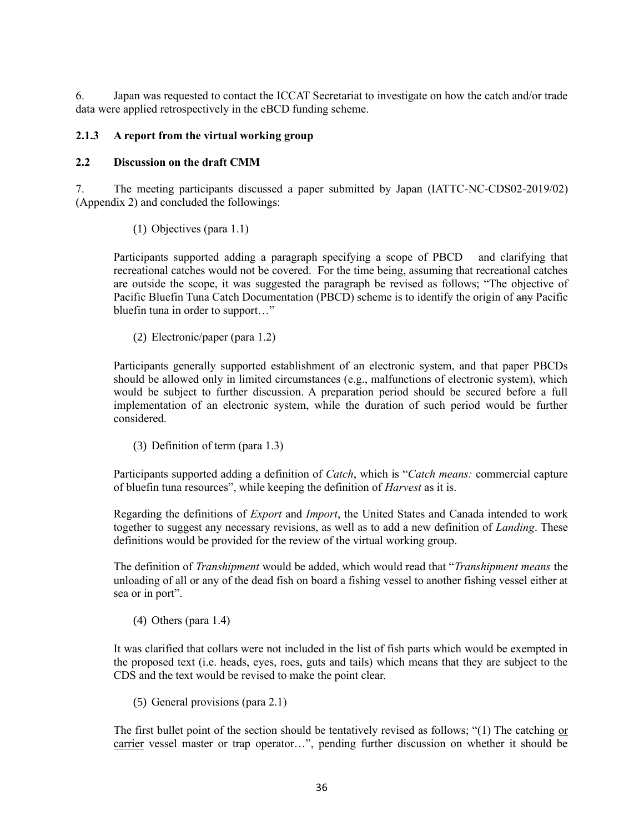6. Japan was requested to contact the ICCAT Secretariat to investigate on how the catch and/or trade data were applied retrospectively in the eBCD funding scheme.

### **2.1.3 A report from the virtual working group**

### **2.2 Discussion on the draft CMM**

7. The meeting participants discussed a paper submitted by Japan (IATTC-NC-CDS02-2019/02) (Appendix 2) and concluded the followings:

(1) Objectives (para 1.1)

Participants supported adding a paragraph specifying a scope of PBCD and clarifying that recreational catches would not be covered. For the time being, assuming that recreational catches are outside the scope, it was suggested the paragraph be revised as follows; "The objective of Pacific Bluefin Tuna Catch Documentation (PBCD) scheme is to identify the origin of any Pacific bluefin tuna in order to support…"

(2) Electronic/paper (para 1.2)

Participants generally supported establishment of an electronic system, and that paper PBCDs should be allowed only in limited circumstances (e.g., malfunctions of electronic system), which would be subject to further discussion. A preparation period should be secured before a full implementation of an electronic system, while the duration of such period would be further considered.

(3) Definition of term (para 1.3)

Participants supported adding a definition of *Catch*, which is "*Catch means:* commercial capture of bluefin tuna resources", while keeping the definition of *Harvest* as it is.

Regarding the definitions of *Export* and *Import*, the United States and Canada intended to work together to suggest any necessary revisions, as well as to add a new definition of *Landing*. These definitions would be provided for the review of the virtual working group.

The definition of *Transhipment* would be added, which would read that "*Transhipment means* the unloading of all or any of the dead fish on board a fishing vessel to another fishing vessel either at sea or in port".

(4) Others (para 1.4)

It was clarified that collars were not included in the list of fish parts which would be exempted in the proposed text (i.e. heads, eyes, roes, guts and tails) which means that they are subject to the CDS and the text would be revised to make the point clear.

(5) General provisions (para 2.1)

The first bullet point of the section should be tentatively revised as follows; "(1) The catching or carrier vessel master or trap operator…", pending further discussion on whether it should be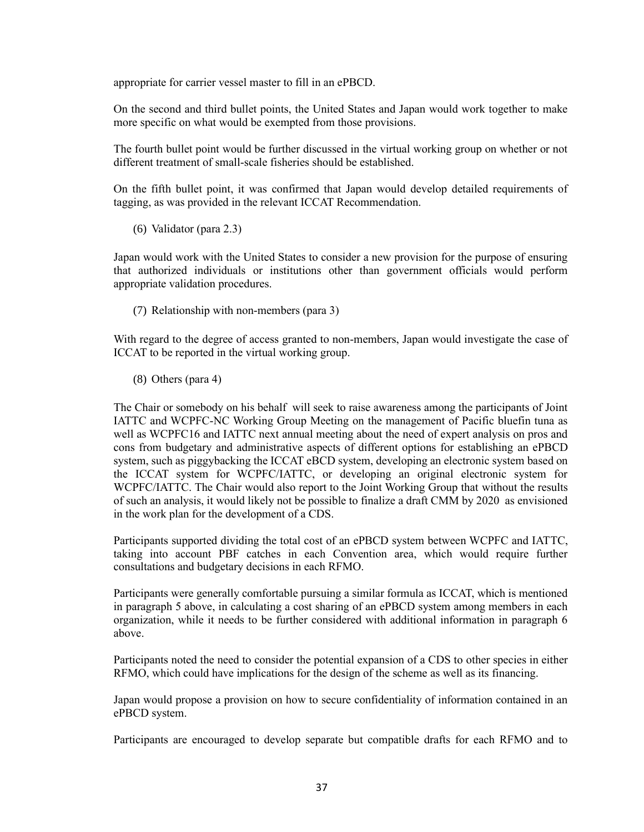appropriate for carrier vessel master to fill in an ePBCD.

On the second and third bullet points, the United States and Japan would work together to make more specific on what would be exempted from those provisions.

The fourth bullet point would be further discussed in the virtual working group on whether or not different treatment of small-scale fisheries should be established.

On the fifth bullet point, it was confirmed that Japan would develop detailed requirements of tagging, as was provided in the relevant ICCAT Recommendation.

(6) Validator (para 2.3)

Japan would work with the United States to consider a new provision for the purpose of ensuring that authorized individuals or institutions other than government officials would perform appropriate validation procedures.

(7) Relationship with non-members (para 3)

With regard to the degree of access granted to non-members, Japan would investigate the case of ICCAT to be reported in the virtual working group.

(8) Others (para 4)

The Chair or somebody on his behalf will seek to raise awareness among the participants of Joint IATTC and WCPFC-NC Working Group Meeting on the management of Pacific bluefin tuna as well as WCPFC16 and IATTC next annual meeting about the need of expert analysis on pros and cons from budgetary and administrative aspects of different options for establishing an ePBCD system, such as piggybacking the ICCAT eBCD system, developing an electronic system based on the ICCAT system for WCPFC/IATTC, or developing an original electronic system for WCPFC/IATTC. The Chair would also report to the Joint Working Group that without the results of such an analysis, it would likely not be possible to finalize a draft CMM by 2020 as envisioned in the work plan for the development of a CDS.

Participants supported dividing the total cost of an ePBCD system between WCPFC and IATTC, taking into account PBF catches in each Convention area, which would require further consultations and budgetary decisions in each RFMO.

Participants were generally comfortable pursuing a similar formula as ICCAT, which is mentioned in paragraph 5 above, in calculating a cost sharing of an ePBCD system among members in each organization, while it needs to be further considered with additional information in paragraph 6 above.

Participants noted the need to consider the potential expansion of a CDS to other species in either RFMO, which could have implications for the design of the scheme as well as its financing.

Japan would propose a provision on how to secure confidentiality of information contained in an ePBCD system.

Participants are encouraged to develop separate but compatible drafts for each RFMO and to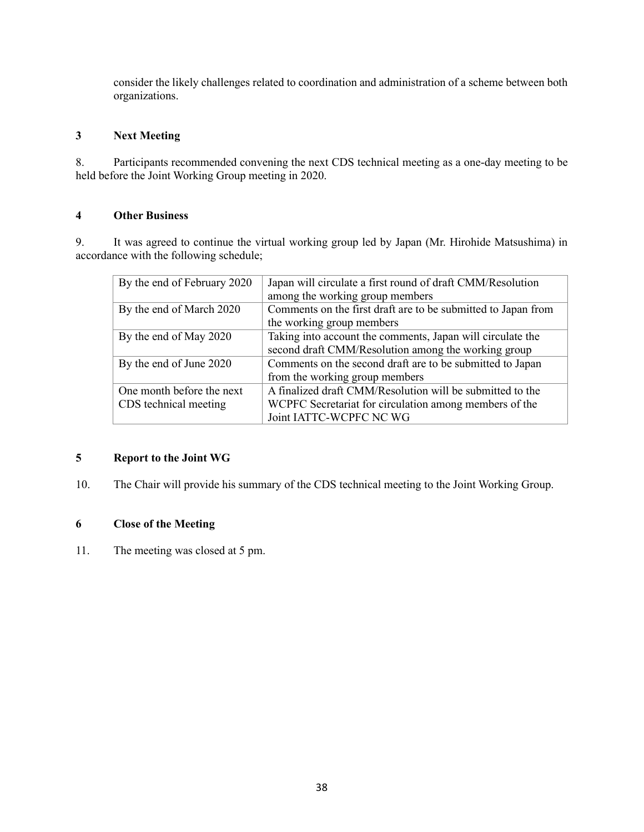consider the likely challenges related to coordination and administration of a scheme between both organizations.

### **3 Next Meeting**

8. Participants recommended convening the next CDS technical meeting as a one-day meeting to be held before the Joint Working Group meeting in 2020.

### **4 Other Business**

9. It was agreed to continue the virtual working group led by Japan (Mr. Hirohide Matsushima) in accordance with the following schedule;

| By the end of February 2020 | Japan will circulate a first round of draft CMM/Resolution    |
|-----------------------------|---------------------------------------------------------------|
|                             | among the working group members                               |
| By the end of March 2020    | Comments on the first draft are to be submitted to Japan from |
|                             | the working group members                                     |
| By the end of May 2020      | Taking into account the comments, Japan will circulate the    |
|                             | second draft CMM/Resolution among the working group           |
| By the end of June 2020     | Comments on the second draft are to be submitted to Japan     |
|                             | from the working group members                                |
| One month before the next   | A finalized draft CMM/Resolution will be submitted to the     |
| CDS technical meeting       | WCPFC Secretariat for circulation among members of the        |
|                             | Joint IATTC-WCPFC NC WG                                       |

### **5 Report to the Joint WG**

10. The Chair will provide his summary of the CDS technical meeting to the Joint Working Group.

## **6 Close of the Meeting**

11. The meeting was closed at 5 pm.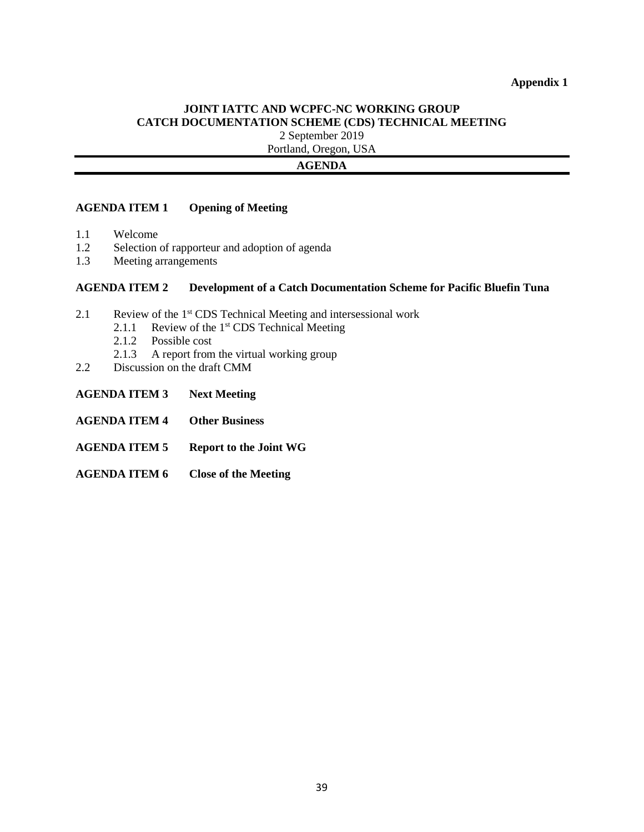#### **JOINT IATTC AND WCPFC-NC WORKING GROUP CATCH DOCUMENTATION SCHEME (CDS) TECHNICAL MEETING** 2 September 2019

Portland, Oregon, USA

### **AGENDA**

### **AGENDA ITEM 1 Opening of Meeting**

- 1.1 Welcome
- 1.2 Selection of rapporteur and adoption of agenda
- 1.3 Meeting arrangements

#### **AGENDA ITEM 2 Development of a Catch Documentation Scheme for Pacific Bluefin Tuna**

- 2.1 Review of the 1<sup>st</sup> CDS Technical Meeting and intersessional work
	- 2.1.1 Review of the 1<sup>st</sup> CDS Technical Meeting
	- 2.1.2 Possible cost
	- 2.1.3 A report from the virtual working group
- 2.2 Discussion on the draft CMM
- **AGENDA ITEM 3 Next Meeting**
- **AGENDA ITEM 4 Other Business**
- **AGENDA ITEM 5 Report to the Joint WG**
- **AGENDA ITEM 6 Close of the Meeting**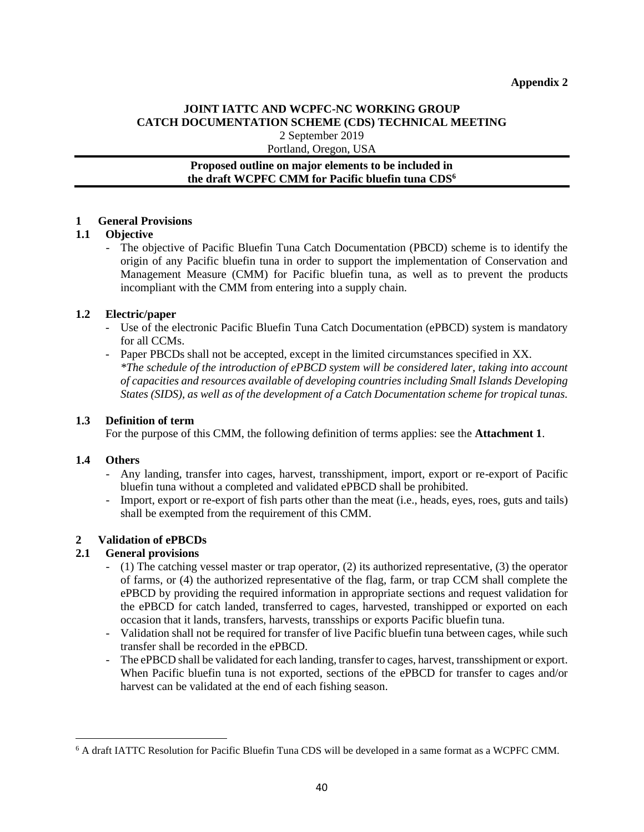### **JOINT IATTC AND WCPFC-NC WORKING GROUP CATCH DOCUMENTATION SCHEME (CDS) TECHNICAL MEETING** 2 September 2019

Portland, Oregon, USA

### **Proposed outline on major elements to be included in the draft WCPFC CMM for Pacific bluefin tuna CDS<sup>6</sup>**

### **1 General Provisions**

### **1.1 Objective**

The objective of Pacific Bluefin Tuna Catch Documentation (PBCD) scheme is to identify the origin of any Pacific bluefin tuna in order to support the implementation of Conservation and Management Measure (CMM) for Pacific bluefin tuna, as well as to prevent the products incompliant with the CMM from entering into a supply chain.

### **1.2 Electric/paper**

- Use of the electronic Pacific Bluefin Tuna Catch Documentation (ePBCD) system is mandatory for all CCMs.
- Paper PBCDs shall not be accepted, except in the limited circumstances specified in XX. *\*The schedule of the introduction of ePBCD system will be considered later, taking into account of capacities and resources available of developing countries including Small Islands Developing States (SIDS), as well as of the development of a Catch Documentation scheme for tropical tunas.*

### **1.3 Definition of term**

For the purpose of this CMM, the following definition of terms applies: see the **Attachment 1**.

### **1.4 Others**

- Any landing, transfer into cages, harvest, transshipment, import, export or re-export of Pacific bluefin tuna without a completed and validated ePBCD shall be prohibited.
- Import, export or re-export of fish parts other than the meat (i.e., heads, eyes, roes, guts and tails) shall be exempted from the requirement of this CMM.

## **2 Validation of ePBCDs**

### **2.1 General provisions**

- (1) The catching vessel master or trap operator, (2) its authorized representative, (3) the operator of farms, or (4) the authorized representative of the flag, farm, or trap CCM shall complete the ePBCD by providing the required information in appropriate sections and request validation for the ePBCD for catch landed, transferred to cages, harvested, transhipped or exported on each occasion that it lands, transfers, harvests, transships or exports Pacific bluefin tuna.
- Validation shall not be required for transfer of live Pacific bluefin tuna between cages, while such transfer shall be recorded in the ePBCD.
- The ePBCD shall be validated for each landing, transfer to cages, harvest, transshipment or export. When Pacific bluefin tuna is not exported, sections of the ePBCD for transfer to cages and/or harvest can be validated at the end of each fishing season.

<sup>6</sup> A draft IATTC Resolution for Pacific Bluefin Tuna CDS will be developed in a same format as a WCPFC CMM.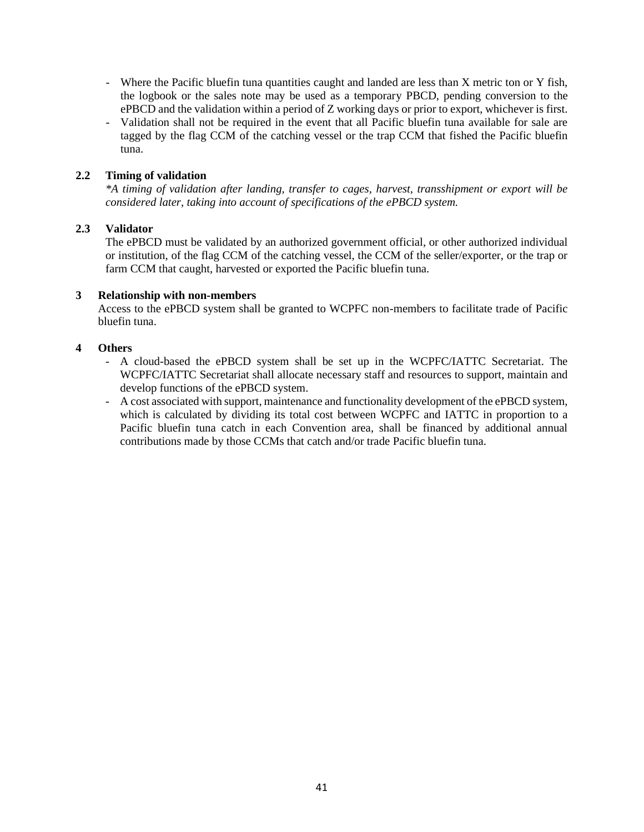- Where the Pacific bluefin tuna quantities caught and landed are less than X metric ton or Y fish, the logbook or the sales note may be used as a temporary PBCD, pending conversion to the ePBCD and the validation within a period of Z working days or prior to export, whichever is first.
- Validation shall not be required in the event that all Pacific bluefin tuna available for sale are tagged by the flag CCM of the catching vessel or the trap CCM that fished the Pacific bluefin tuna.

### **2.2 Timing of validation**

*\*A timing of validation after landing, transfer to cages, harvest, transshipment or export will be considered later, taking into account of specifications of the ePBCD system.*

#### **2.3 Validator**

The ePBCD must be validated by an authorized government official, or other authorized individual or institution, of the flag CCM of the catching vessel, the CCM of the seller/exporter, or the trap or farm CCM that caught, harvested or exported the Pacific bluefin tuna.

#### **3 Relationship with non-members**

Access to the ePBCD system shall be granted to WCPFC non-members to facilitate trade of Pacific bluefin tuna.

#### **4 Others**

- A cloud-based the ePBCD system shall be set up in the WCPFC/IATTC Secretariat. The WCPFC/IATTC Secretariat shall allocate necessary staff and resources to support, maintain and develop functions of the ePBCD system.
- A cost associated with support, maintenance and functionality development of the ePBCD system, which is calculated by dividing its total cost between WCPFC and IATTC in proportion to a Pacific bluefin tuna catch in each Convention area, shall be financed by additional annual contributions made by those CCMs that catch and/or trade Pacific bluefin tuna.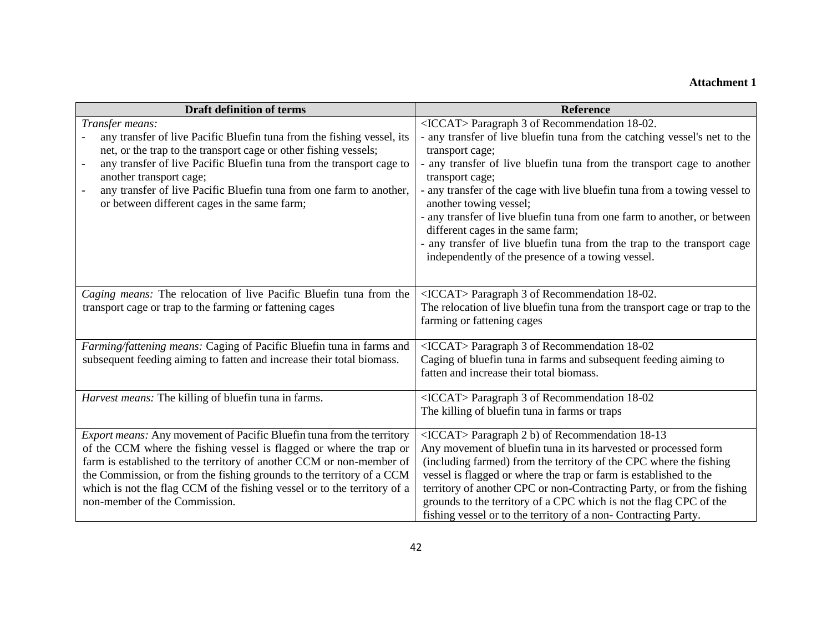# **Attachment 1**

| <b>Draft definition of terms</b>                                                                                    | <b>Reference</b>                                                                                  |
|---------------------------------------------------------------------------------------------------------------------|---------------------------------------------------------------------------------------------------|
| Transfer means:                                                                                                     | <iccat> Paragraph 3 of Recommendation 18-02.</iccat>                                              |
| any transfer of live Pacific Bluefin tuna from the fishing vessel, its                                              | - any transfer of live bluefin tuna from the catching vessel's net to the                         |
| net, or the trap to the transport cage or other fishing vessels;                                                    | transport cage;                                                                                   |
| any transfer of live Pacific Bluefin tuna from the transport cage to                                                | any transfer of live bluefin tuna from the transport cage to another                              |
| another transport cage;                                                                                             | transport cage;                                                                                   |
| any transfer of live Pacific Bluefin tuna from one farm to another,<br>or between different cages in the same farm; | any transfer of the cage with live bluefin tuna from a towing vessel to<br>another towing vessel; |
|                                                                                                                     | - any transfer of live bluefin tuna from one farm to another, or between                          |
|                                                                                                                     | different cages in the same farm;                                                                 |
|                                                                                                                     | any transfer of live bluefin tuna from the trap to the transport cage                             |
|                                                                                                                     | independently of the presence of a towing vessel.                                                 |
|                                                                                                                     |                                                                                                   |
| Caging means: The relocation of live Pacific Bluefin tuna from the                                                  | <iccat> Paragraph 3 of Recommendation 18-02.</iccat>                                              |
| transport cage or trap to the farming or fattening cages                                                            | The relocation of live bluefin tuna from the transport cage or trap to the                        |
|                                                                                                                     | farming or fattening cages                                                                        |
|                                                                                                                     |                                                                                                   |
| Farming/fattening means: Caging of Pacific Bluefin tuna in farms and                                                | <iccat> Paragraph 3 of Recommendation 18-02</iccat>                                               |
| subsequent feeding aiming to fatten and increase their total biomass.                                               | Caging of bluefin tuna in farms and subsequent feeding aiming to                                  |
|                                                                                                                     | fatten and increase their total biomass.                                                          |
| Harvest means: The killing of bluefin tuna in farms.                                                                | <iccat> Paragraph 3 of Recommendation 18-02</iccat>                                               |
|                                                                                                                     | The killing of bluefin tuna in farms or traps                                                     |
| Export means: Any movement of Pacific Bluefin tuna from the territory                                               | <iccat> Paragraph 2 b) of Recommendation 18-13</iccat>                                            |
| of the CCM where the fishing vessel is flagged or where the trap or                                                 | Any movement of bluefin tuna in its harvested or processed form                                   |
| farm is established to the territory of another CCM or non-member of                                                | (including farmed) from the territory of the CPC where the fishing                                |
| the Commission, or from the fishing grounds to the territory of a CCM                                               | vessel is flagged or where the trap or farm is established to the                                 |
| which is not the flag CCM of the fishing vessel or to the territory of a                                            | territory of another CPC or non-Contracting Party, or from the fishing                            |
| non-member of the Commission.                                                                                       | grounds to the territory of a CPC which is not the flag CPC of the                                |
|                                                                                                                     | fishing vessel or to the territory of a non- Contracting Party.                                   |